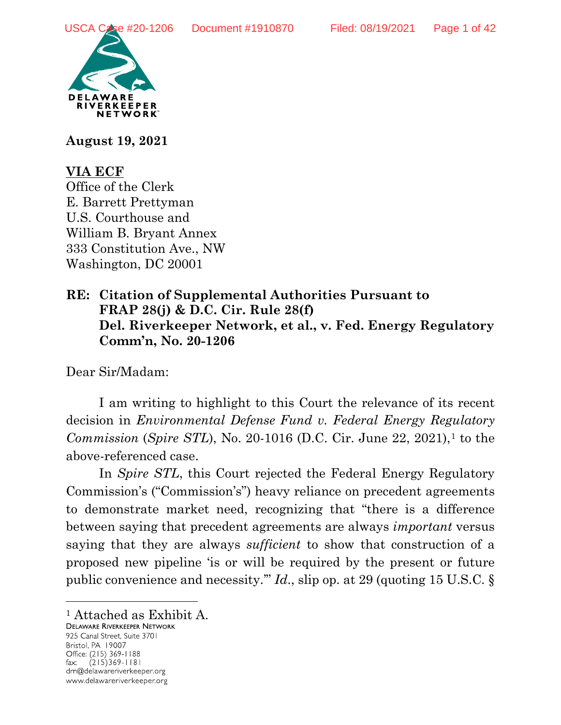

**August 19, 2021**

# **VIA ECF**

Office of the Clerk E. Barrett Prettyman U.S. Courthouse and William B. Bryant Annex 333 Constitution Ave., NW Washington, DC 20001

# **RE: Citation of Supplemental Authorities Pursuant to FRAP 28(j) & D.C. Cir. Rule 28(f) Del. Riverkeeper Network, et al., v. Fed. Energy Regulatory Comm'n, No. 20-1206**

Dear Sir/Madam:

I am writing to highlight to this Court the relevance of its recent decision in *Environmental Defense Fund v. Federal Energy Regulatory Commission* (*Spire STL*), No. 20-[1](#page-0-0)016 (D.C. Cir. June 22, 2021),<sup>1</sup> to the above-referenced case.

In *Spire STL*, this Court rejected the Federal Energy Regulatory Commission's ("Commission's") heavy reliance on precedent agreements to demonstrate market need, recognizing that "there is a difference between saying that precedent agreements are always *important* versus saying that they are always *sufficient* to show that construction of a proposed new pipeline 'is or will be required by the present or future public convenience and necessity.'" *Id*., slip op. at 29 (quoting 15 U.S.C. §

925 Canal Street, Suite 3701 Bristol, PA 19007 Office: (215) 369-1188  $(215)369 - 1181$ fax: drn@delawareriverkeeper.org www.delawareriverkeeper.org

 $\overline{a}$ 

<span id="page-0-0"></span><sup>&</sup>lt;sup>1</sup> Attached as Exhibit A.<br>Delaware Riverkeeper Network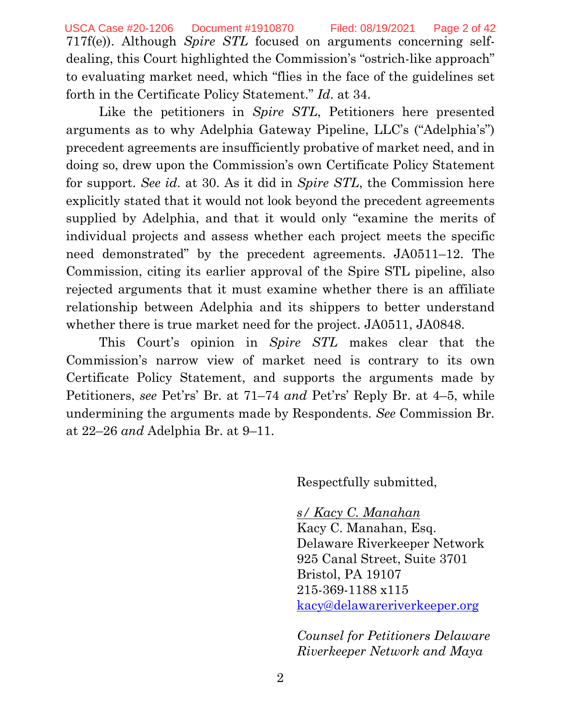717f(e)). Although *Spire STL* focused on arguments concerning selfdealing, this Court highlighted the Commission's "ostrich-like approach" to evaluating market need, which "flies in the face of the guidelines set forth in the Certificate Policy Statement." *Id*. at 34. USCA Case #20-1206 Document #1910870 Filed: 08/19/2021 Page 2 of 42

Like the petitioners in *Spire STL*, Petitioners here presented arguments as to why Adelphia Gateway Pipeline, LLC's ("Adelphia's") precedent agreements are insufficiently probative of market need, and in doing so, drew upon the Commission's own Certificate Policy Statement for support. *See id*. at 30. As it did in *Spire STL*, the Commission here explicitly stated that it would not look beyond the precedent agreements supplied by Adelphia, and that it would only "examine the merits of individual projects and assess whether each project meets the specific need demonstrated" by the precedent agreements. JA0511–12. The Commission, citing its earlier approval of the Spire STL pipeline, also rejected arguments that it must examine whether there is an affiliate relationship between Adelphia and its shippers to better understand whether there is true market need for the project. JA0511, JA0848.

This Court's opinion in *Spire STL* makes clear that the Commission's narrow view of market need is contrary to its own Certificate Policy Statement, and supports the arguments made by Petitioners, *see* Pet'rs' Br. at 71–74 *and* Pet'rs' Reply Br. at 4–5, while undermining the arguments made by Respondents. *See* Commission Br. at 22–26 *and* Adelphia Br. at 9–11.

Respectfully submitted,

# *s/ Kacy C. Manahan*

Kacy C. Manahan, Esq. Delaware Riverkeeper Network 925 Canal Street, Suite 3701 Bristol, PA 19107 215-369-1188 x115 [kacy@delawareriverkeeper.org](mailto:kacy@delawareriverkeeper.org)

*Counsel for Petitioners Delaware Riverkeeper Network and Maya*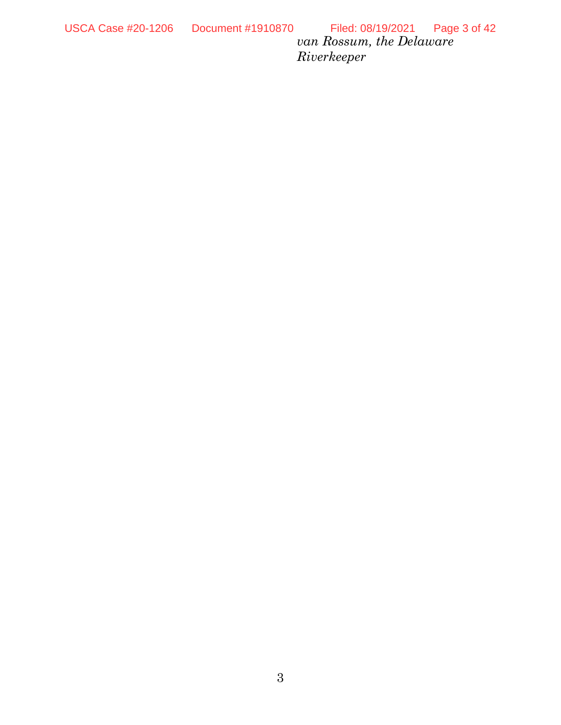*van Rossum, the Delaware Riverkeeper*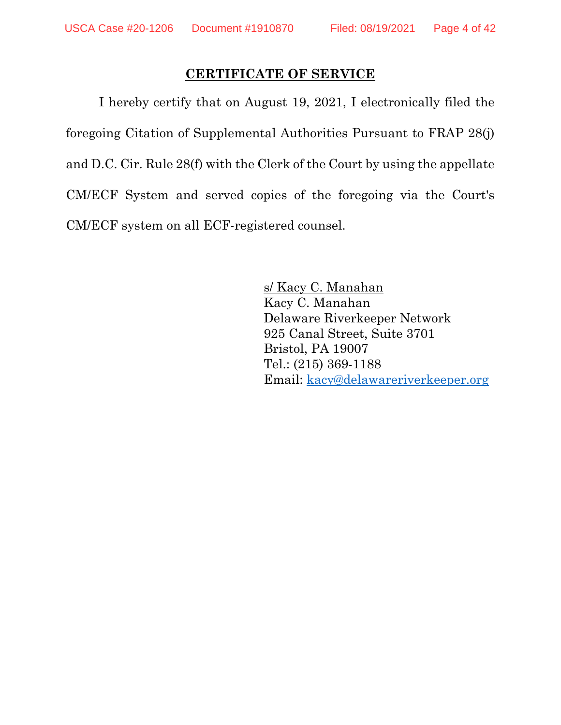## **CERTIFICATE OF SERVICE**

I hereby certify that on August 19, 2021, I electronically filed the foregoing Citation of Supplemental Authorities Pursuant to FRAP 28(j) and D.C. Cir. Rule 28(f) with the Clerk of the Court by using the appellate CM/ECF System and served copies of the foregoing via the Court's CM/ECF system on all ECF-registered counsel.

> s/ Kacy C. Manahan Kacy C. Manahan Delaware Riverkeeper Network 925 Canal Street, Suite 3701 Bristol, PA 19007 Tel.: (215) 369-1188 Email: [kacy@delawareriverkeeper.org](mailto:kacy@delawareriverkeeper.org)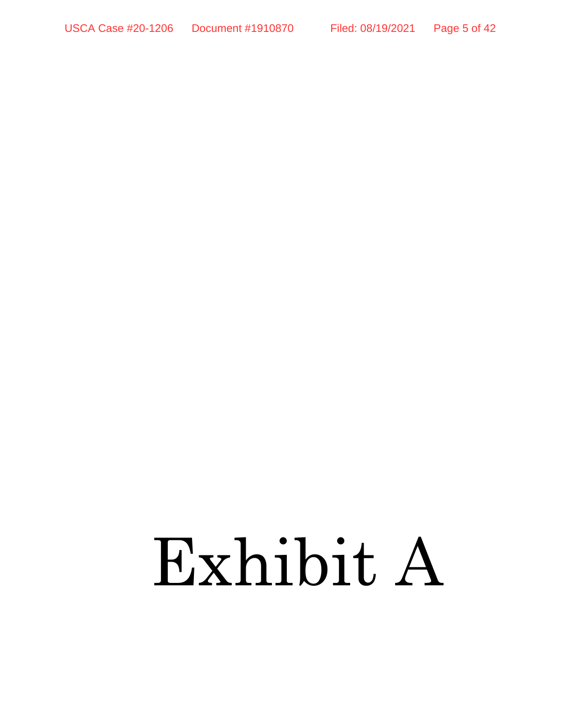# Exhibit A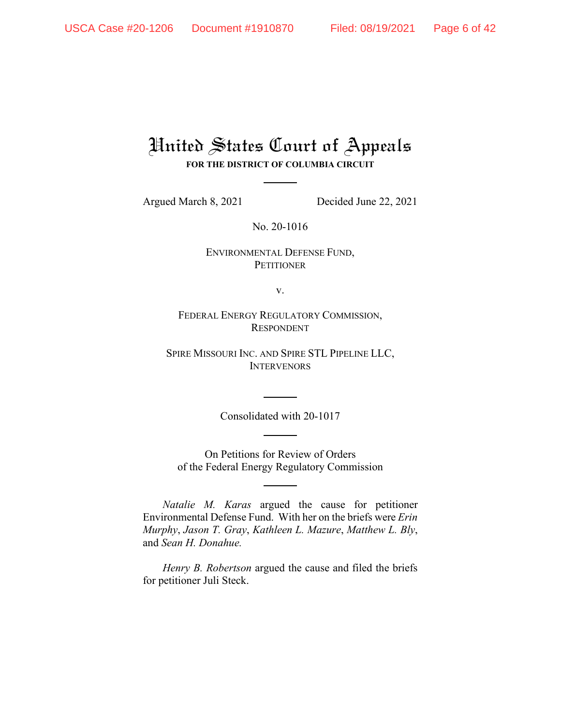# United States Court of Appeals **FOR THE DISTRICT OF COLUMBIA CIRCUIT**

Argued March 8, 2021 Decided June 22, 2021

No. 20-1016

ENVIRONMENTAL DEFENSE FUND, **PETITIONER** 

v.

FEDERAL ENERGY REGULATORY COMMISSION, RESPONDENT

SPIRE MISSOURI INC. AND SPIRE STL PIPELINE LLC, **INTERVENORS** 

Consolidated with 20-1017

On Petitions for Review of Orders of the Federal Energy Regulatory Commission

*Natalie M. Karas* argued the cause for petitioner Environmental Defense Fund. With her on the briefs were *Erin Murphy*, *Jason T. Gray*, *Kathleen L. Mazure*, *Matthew L. Bly*, and *Sean H. Donahue.*

*Henry B. Robertson* argued the cause and filed the briefs for petitioner Juli Steck.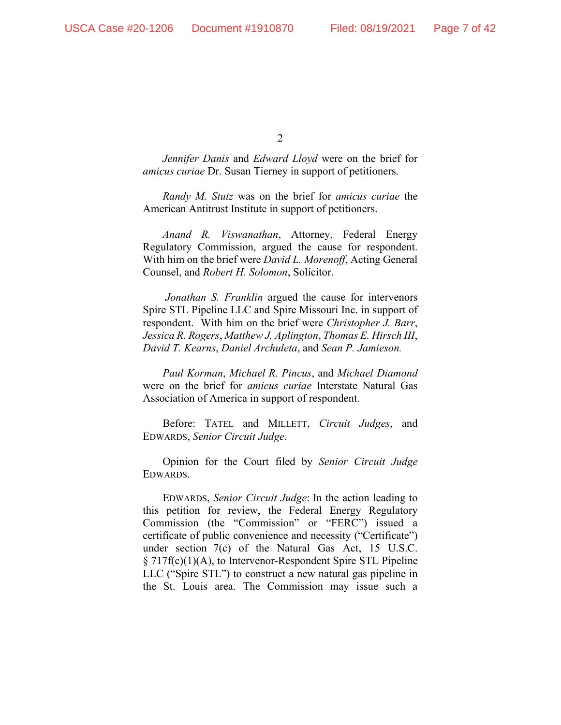*Jennifer Danis* and *Edward Lloyd* were on the brief for *amicus curiae* Dr. Susan Tierney in support of petitioners.

*Randy M. Stutz* was on the brief for *amicus curiae* the American Antitrust Institute in support of petitioners.

*Anand R. Viswanathan*, Attorney, Federal Energy Regulatory Commission, argued the cause for respondent. With him on the brief were *David L. Morenoff*, Acting General Counsel, and *Robert H. Solomon*, Solicitor.

*Jonathan S. Franklin* argued the cause for intervenors Spire STL Pipeline LLC and Spire Missouri Inc. in support of respondent. With him on the brief were *Christopher J. Barr*, *Jessica R. Rogers*, *Matthew J. Aplington*, *Thomas E. Hirsch III*, *David T. Kearns*, *Daniel Archuleta*, and *Sean P. Jamieson.*

*Paul Korman*, *Michael R. Pincus*, and *Michael Diamond* were on the brief for *amicus curiae* Interstate Natural Gas Association of America in support of respondent.

Before: TATEL and MILLETT, *Circuit Judges*, and EDWARDS, *Senior Circuit Judge*.

Opinion for the Court filed by *Senior Circuit Judge*  EDWARDS.

EDWARDS, *Senior Circuit Judge*: In the action leading to this petition for review, the Federal Energy Regulatory Commission (the "Commission" or "FERC") issued a certificate of public convenience and necessity ("Certificate") under section 7(c) of the Natural Gas Act, 15 U.S.C. § 717f(c)(1)(A), to Intervenor-Respondent Spire STL Pipeline LLC ("Spire STL") to construct a new natural gas pipeline in the St. Louis area. The Commission may issue such a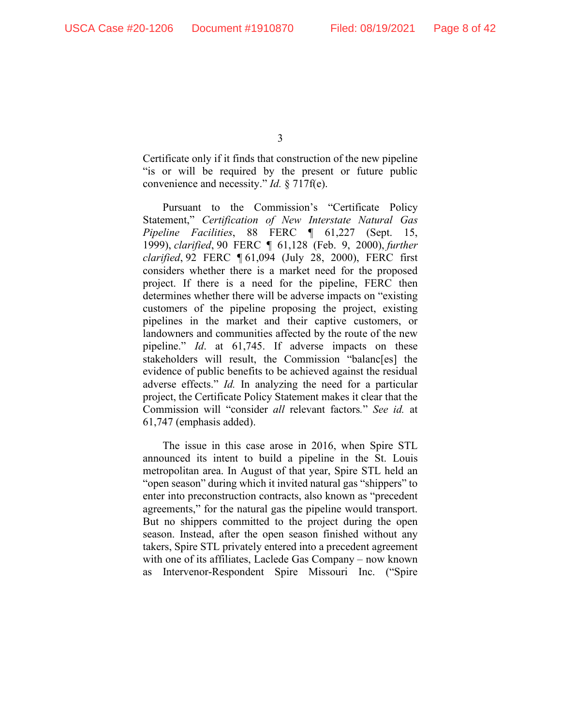Certificate only if it finds that construction of the new pipeline "is or will be required by the present or future public convenience and necessity." *Id.* § 717f(e).

Pursuant to the Commission's "Certificate Policy Statement," *Certification of New Interstate Natural Gas Pipeline Facilities*, 88 FERC ¶ 61,227 (Sept. 15, 1999), *clarified*, 90 FERC ¶ 61,128 (Feb. 9, 2000), *further clarified*, 92 FERC ¶ 61,094 (July 28, 2000), FERC first considers whether there is a market need for the proposed project. If there is a need for the pipeline, FERC then determines whether there will be adverse impacts on "existing customers of the pipeline proposing the project, existing pipelines in the market and their captive customers, or landowners and communities affected by the route of the new pipeline." *Id*. at 61,745. If adverse impacts on these stakeholders will result, the Commission "balanc[es] the evidence of public benefits to be achieved against the residual adverse effects." *Id.* In analyzing the need for a particular project, the Certificate Policy Statement makes it clear that the Commission will "consider *all* relevant factors*.*" *See id.* at 61,747 (emphasis added).

The issue in this case arose in 2016, when Spire STL announced its intent to build a pipeline in the St. Louis metropolitan area. In August of that year, Spire STL held an "open season" during which it invited natural gas "shippers" to enter into preconstruction contracts, also known as "precedent agreements," for the natural gas the pipeline would transport. But no shippers committed to the project during the open season. Instead, after the open season finished without any takers, Spire STL privately entered into a precedent agreement with one of its affiliates, Laclede Gas Company – now known as Intervenor-Respondent Spire Missouri Inc. ("Spire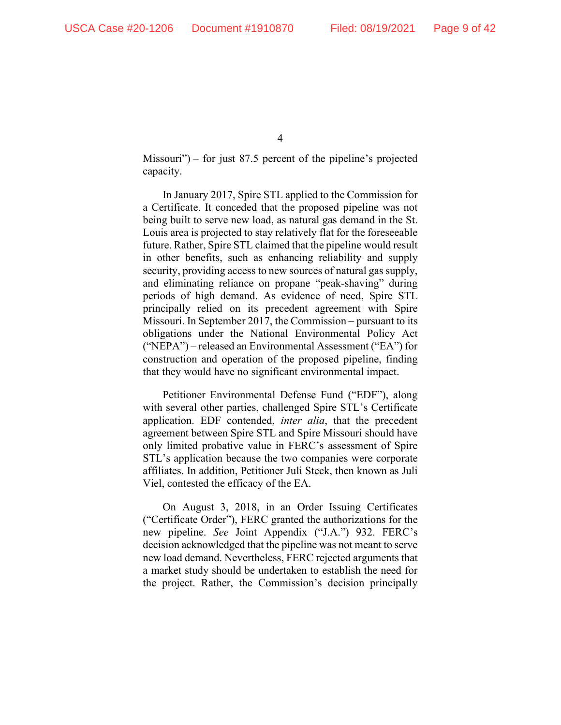Missouri") – for just 87.5 percent of the pipeline's projected capacity.

In January 2017, Spire STL applied to the Commission for a Certificate. It conceded that the proposed pipeline was not being built to serve new load, as natural gas demand in the St. Louis area is projected to stay relatively flat for the foreseeable future. Rather, Spire STL claimed that the pipeline would result in other benefits, such as enhancing reliability and supply security, providing access to new sources of natural gas supply, and eliminating reliance on propane "peak-shaving" during periods of high demand. As evidence of need, Spire STL principally relied on its precedent agreement with Spire Missouri. In September 2017, the Commission – pursuant to its obligations under the National Environmental Policy Act ("NEPA") – released an Environmental Assessment ("EA") for construction and operation of the proposed pipeline, finding that they would have no significant environmental impact.

Petitioner Environmental Defense Fund ("EDF"), along with several other parties, challenged Spire STL's Certificate application. EDF contended, *inter alia*, that the precedent agreement between Spire STL and Spire Missouri should have only limited probative value in FERC's assessment of Spire STL's application because the two companies were corporate affiliates. In addition, Petitioner Juli Steck, then known as Juli Viel, contested the efficacy of the EA.

On August 3, 2018, in an Order Issuing Certificates ("Certificate Order"), FERC granted the authorizations for the new pipeline. *See* Joint Appendix ("J.A.") 932. FERC's decision acknowledged that the pipeline was not meant to serve new load demand. Nevertheless, FERC rejected arguments that a market study should be undertaken to establish the need for the project. Rather, the Commission's decision principally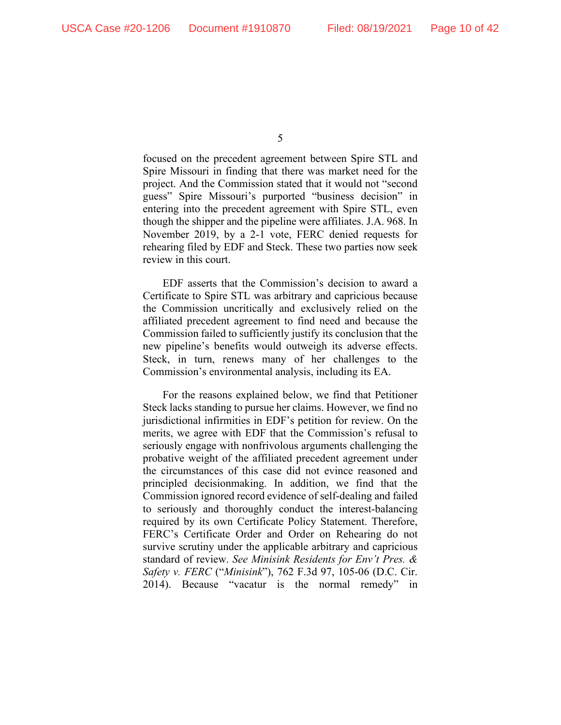focused on the precedent agreement between Spire STL and Spire Missouri in finding that there was market need for the project. And the Commission stated that it would not "second guess" Spire Missouri's purported "business decision" in entering into the precedent agreement with Spire STL, even though the shipper and the pipeline were affiliates. J.A. 968. In November 2019, by a 2-1 vote, FERC denied requests for rehearing filed by EDF and Steck. These two parties now seek review in this court.

EDF asserts that the Commission's decision to award a Certificate to Spire STL was arbitrary and capricious because the Commission uncritically and exclusively relied on the affiliated precedent agreement to find need and because the Commission failed to sufficiently justify its conclusion that the new pipeline's benefits would outweigh its adverse effects. Steck, in turn, renews many of her challenges to the Commission's environmental analysis, including its EA.

For the reasons explained below, we find that Petitioner Steck lacks standing to pursue her claims. However, we find no jurisdictional infirmities in EDF's petition for review. On the merits, we agree with EDF that the Commission's refusal to seriously engage with nonfrivolous arguments challenging the probative weight of the affiliated precedent agreement under the circumstances of this case did not evince reasoned and principled decisionmaking. In addition, we find that the Commission ignored record evidence of self-dealing and failed to seriously and thoroughly conduct the interest-balancing required by its own Certificate Policy Statement. Therefore, FERC's Certificate Order and Order on Rehearing do not survive scrutiny under the applicable arbitrary and capricious standard of review. *See Minisink Residents for Env't Pres. & Safety v. FERC* ("*Minisink*"), 762 F.3d 97, 105-06 (D.C. Cir. 2014). Because "vacatur is the normal remedy" in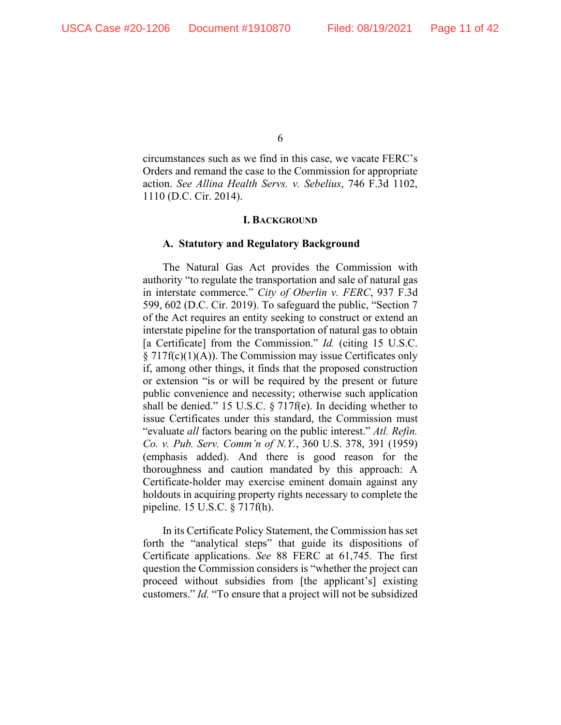circumstances such as we find in this case, we vacate FERC's Orders and remand the case to the Commission for appropriate action. *See Allina Health Servs. v. Sebelius*, 746 F.3d 1102, 1110 (D.C. Cir. 2014).

#### **I. BACKGROUND**

#### **A. Statutory and Regulatory Background**

The Natural Gas Act provides the Commission with authority "to regulate the transportation and sale of natural gas in interstate commerce." *City of Oberlin v. FERC*, 937 F.3d 599, 602 (D.C. Cir. 2019). To safeguard the public, "Section 7 of the Act requires an entity seeking to construct or extend an interstate pipeline for the transportation of natural gas to obtain [a Certificate] from the Commission." *Id.* (citing 15 U.S.C.  $\S 717f(c)(1)(A)$ . The Commission may issue Certificates only if, among other things, it finds that the proposed construction or extension "is or will be required by the present or future public convenience and necessity; otherwise such application shall be denied." 15 U.S.C. § 717f(e). In deciding whether to issue Certificates under this standard, the Commission must "evaluate *all* factors bearing on the public interest." *Atl. Refin. Co. v. Pub. Serv. Comm'n of N.Y.*, 360 U.S. 378, 391 (1959) (emphasis added). And there is good reason for the thoroughness and caution mandated by this approach: A Certificate-holder may exercise eminent domain against any holdouts in acquiring property rights necessary to complete the pipeline. 15 U.S.C. § 717f(h).

In its Certificate Policy Statement, the Commission has set forth the "analytical steps" that guide its dispositions of Certificate applications. *See* 88 FERC at 61,745. The first question the Commission considers is "whether the project can proceed without subsidies from [the applicant's] existing customers." *Id.* "To ensure that a project will not be subsidized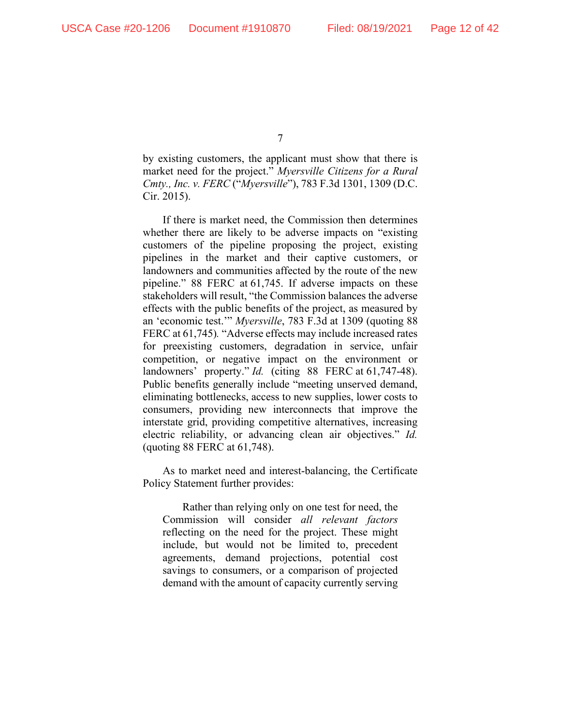by existing customers, the applicant must show that there is market need for the project." *Myersville Citizens for a Rural Cmty., Inc. v. FERC* ("*Myersville*"), 783 F.3d 1301, 1309 (D.C. Cir. 2015).

If there is market need, the Commission then determines whether there are likely to be adverse impacts on "existing customers of the pipeline proposing the project, existing pipelines in the market and their captive customers, or landowners and communities affected by the route of the new pipeline." 88 FERC at 61,745. If adverse impacts on these stakeholders will result, "the Commission balances the adverse effects with the public benefits of the project, as measured by an 'economic test.'" *Myersville*, 783 F.3d at 1309 (quoting 88 FERC at 61,745)*.* "Adverse effects may include increased rates for preexisting customers, degradation in service, unfair competition, or negative impact on the environment or landowners' property." *Id.* (citing 88 FERC at 61,747-48). Public benefits generally include "meeting unserved demand, eliminating bottlenecks, access to new supplies, lower costs to consumers, providing new interconnects that improve the interstate grid, providing competitive alternatives, increasing electric reliability, or advancing clean air objectives." *Id.* (quoting 88 FERC at 61,748).

As to market need and interest-balancing, the Certificate Policy Statement further provides:

Rather than relying only on one test for need, the Commission will consider *all relevant factors* reflecting on the need for the project. These might include, but would not be limited to, precedent agreements, demand projections, potential cost savings to consumers, or a comparison of projected demand with the amount of capacity currently serving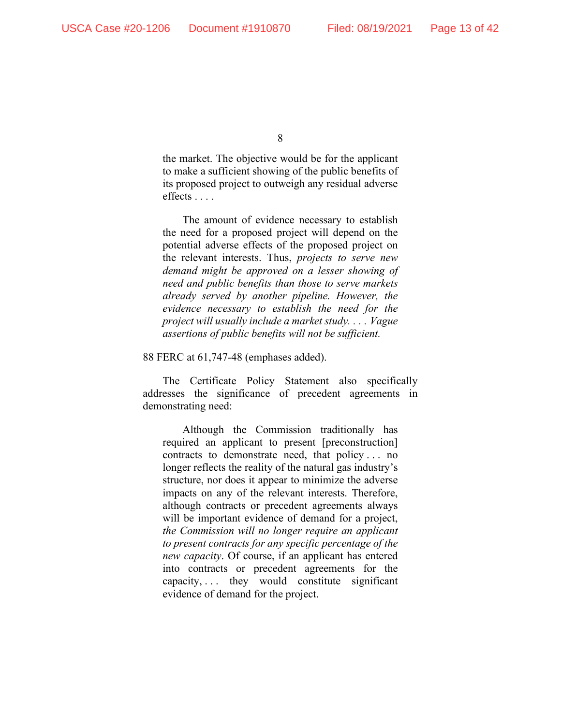the market. The objective would be for the applicant to make a sufficient showing of the public benefits of its proposed project to outweigh any residual adverse effects . . . .

The amount of evidence necessary to establish the need for a proposed project will depend on the potential adverse effects of the proposed project on the relevant interests. Thus, *projects to serve new demand might be approved on a lesser showing of need and public benefits than those to serve markets already served by another pipeline. However, the evidence necessary to establish the need for the project will usually include a market study. . . . Vague assertions of public benefits will not be sufficient.*

88 FERC at 61,747-48 (emphases added).

The Certificate Policy Statement also specifically addresses the significance of precedent agreements in demonstrating need:

Although the Commission traditionally has required an applicant to present [preconstruction] contracts to demonstrate need, that policy . . . no longer reflects the reality of the natural gas industry's structure, nor does it appear to minimize the adverse impacts on any of the relevant interests. Therefore, although contracts or precedent agreements always will be important evidence of demand for a project, *the Commission will no longer require an applicant to present contracts for any specific percentage of the new capacity*. Of course, if an applicant has entered into contracts or precedent agreements for the  $capacity, \ldots$  they would constitute significant evidence of demand for the project.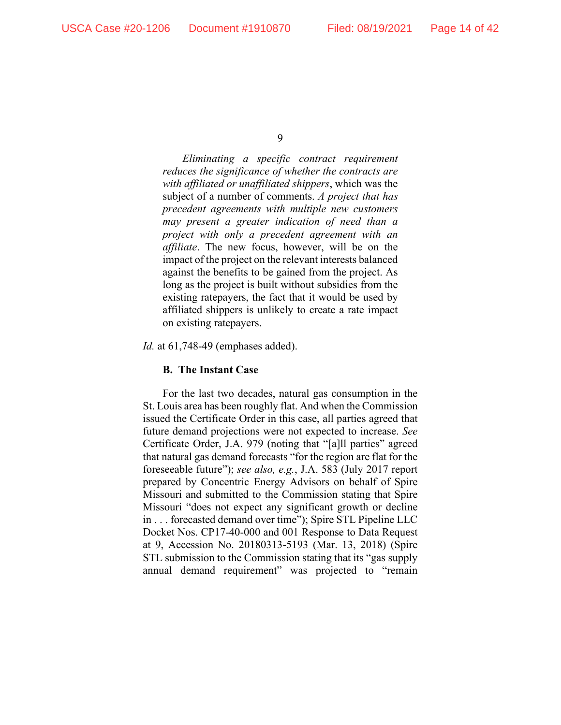*Eliminating a specific contract requirement reduces the significance of whether the contracts are with affiliated or unaffiliated shippers*, which was the subject of a number of comments. *A project that has precedent agreements with multiple new customers may present a greater indication of need than a project with only a precedent agreement with an affiliate*. The new focus, however, will be on the impact of the project on the relevant interests balanced against the benefits to be gained from the project. As long as the project is built without subsidies from the existing ratepayers, the fact that it would be used by affiliated shippers is unlikely to create a rate impact on existing ratepayers.

*Id.* at 61,748-49 (emphases added).

#### **B. The Instant Case**

For the last two decades, natural gas consumption in the St. Louis area has been roughly flat. And when the Commission issued the Certificate Order in this case, all parties agreed that future demand projections were not expected to increase. *See* Certificate Order, J.A. 979 (noting that "[a]ll parties" agreed that natural gas demand forecasts "for the region are flat for the foreseeable future"); *see also, e.g.*, J.A. 583 (July 2017 report prepared by Concentric Energy Advisors on behalf of Spire Missouri and submitted to the Commission stating that Spire Missouri "does not expect any significant growth or decline in . . . forecasted demand over time"); Spire STL Pipeline LLC Docket Nos. CP17-40-000 and 001 Response to Data Request at 9, Accession No. 20180313-5193 (Mar. 13, 2018) (Spire STL submission to the Commission stating that its "gas supply annual demand requirement" was projected to "remain

<sup>9</sup>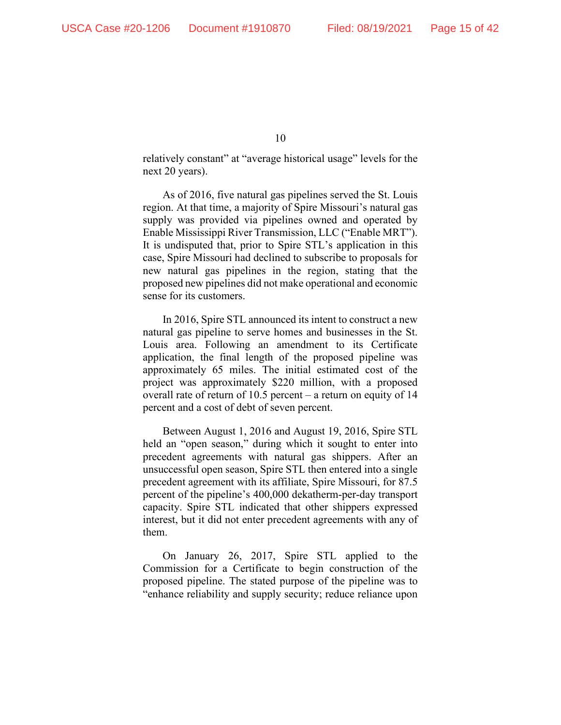relatively constant" at "average historical usage" levels for the next 20 years).

As of 2016, five natural gas pipelines served the St. Louis region. At that time, a majority of Spire Missouri's natural gas supply was provided via pipelines owned and operated by Enable Mississippi River Transmission, LLC ("Enable MRT"). It is undisputed that, prior to Spire STL's application in this case, Spire Missouri had declined to subscribe to proposals for new natural gas pipelines in the region, stating that the proposed new pipelines did not make operational and economic sense for its customers.

In 2016, Spire STL announced its intent to construct a new natural gas pipeline to serve homes and businesses in the St. Louis area. Following an amendment to its Certificate application, the final length of the proposed pipeline was approximately 65 miles. The initial estimated cost of the project was approximately \$220 million, with a proposed overall rate of return of 10.5 percent – a return on equity of 14 percent and a cost of debt of seven percent.

Between August 1, 2016 and August 19, 2016, Spire STL held an "open season," during which it sought to enter into precedent agreements with natural gas shippers. After an unsuccessful open season, Spire STL then entered into a single precedent agreement with its affiliate, Spire Missouri, for 87.5 percent of the pipeline's 400,000 dekatherm-per-day transport capacity. Spire STL indicated that other shippers expressed interest, but it did not enter precedent agreements with any of them.

On January 26, 2017, Spire STL applied to the Commission for a Certificate to begin construction of the proposed pipeline. The stated purpose of the pipeline was to "enhance reliability and supply security; reduce reliance upon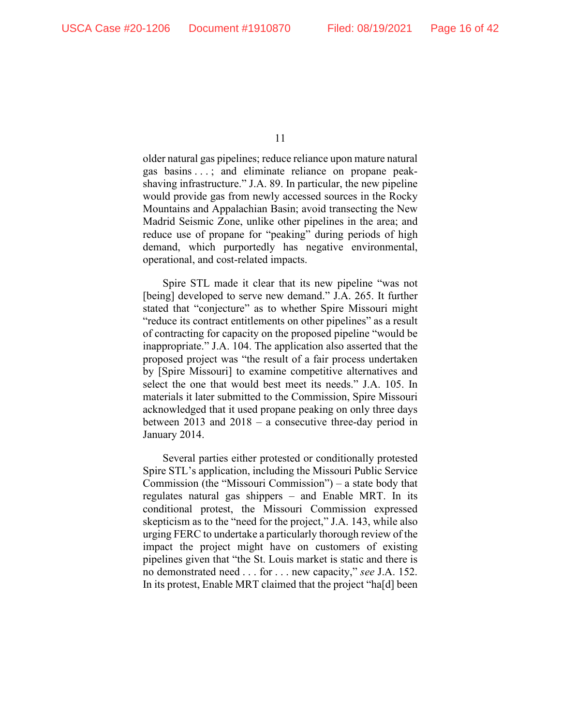older natural gas pipelines; reduce reliance upon mature natural gas basins . . . ; and eliminate reliance on propane peakshaving infrastructure." J.A. 89. In particular, the new pipeline would provide gas from newly accessed sources in the Rocky Mountains and Appalachian Basin; avoid transecting the New Madrid Seismic Zone, unlike other pipelines in the area; and reduce use of propane for "peaking" during periods of high demand, which purportedly has negative environmental, operational, and cost-related impacts.

Spire STL made it clear that its new pipeline "was not [being] developed to serve new demand." J.A. 265. It further stated that "conjecture" as to whether Spire Missouri might "reduce its contract entitlements on other pipelines" as a result of contracting for capacity on the proposed pipeline "would be inappropriate." J.A. 104. The application also asserted that the proposed project was "the result of a fair process undertaken by [Spire Missouri] to examine competitive alternatives and select the one that would best meet its needs." J.A. 105. In materials it later submitted to the Commission, Spire Missouri acknowledged that it used propane peaking on only three days between 2013 and 2018 – a consecutive three-day period in January 2014.

Several parties either protested or conditionally protested Spire STL's application, including the Missouri Public Service Commission (the "Missouri Commission") – a state body that regulates natural gas shippers – and Enable MRT. In its conditional protest, the Missouri Commission expressed skepticism as to the "need for the project," J.A. 143, while also urging FERC to undertake a particularly thorough review of the impact the project might have on customers of existing pipelines given that "the St. Louis market is static and there is no demonstrated need . . . for . . . new capacity," *see* J.A. 152. In its protest, Enable MRT claimed that the project "ha[d] been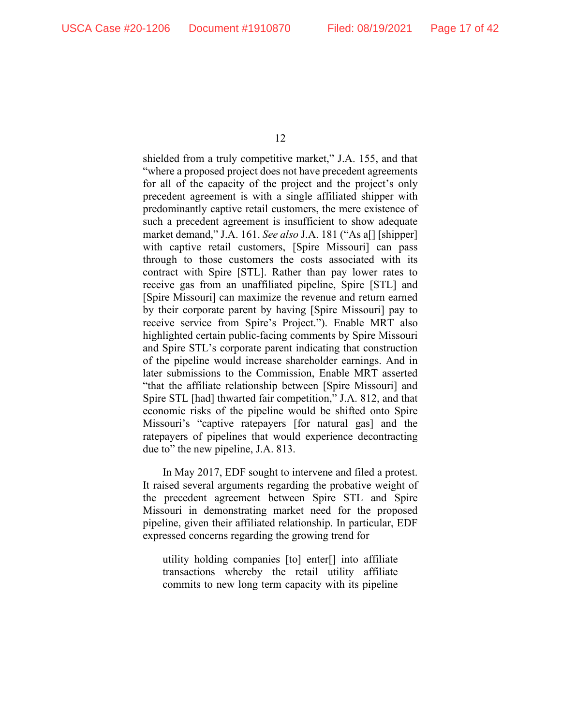shielded from a truly competitive market," J.A. 155, and that "where a proposed project does not have precedent agreements for all of the capacity of the project and the project's only precedent agreement is with a single affiliated shipper with predominantly captive retail customers, the mere existence of such a precedent agreement is insufficient to show adequate market demand," J.A. 161. *See also* J.A. 181 ("As a[] [shipper] with captive retail customers, [Spire Missouri] can pass through to those customers the costs associated with its contract with Spire [STL]. Rather than pay lower rates to receive gas from an unaffiliated pipeline, Spire [STL] and [Spire Missouri] can maximize the revenue and return earned by their corporate parent by having [Spire Missouri] pay to receive service from Spire's Project."). Enable MRT also highlighted certain public-facing comments by Spire Missouri and Spire STL's corporate parent indicating that construction of the pipeline would increase shareholder earnings. And in later submissions to the Commission, Enable MRT asserted "that the affiliate relationship between [Spire Missouri] and Spire STL [had] thwarted fair competition," J.A. 812, and that economic risks of the pipeline would be shifted onto Spire Missouri's "captive ratepayers [for natural gas] and the ratepayers of pipelines that would experience decontracting due to" the new pipeline, J.A. 813.

In May 2017, EDF sought to intervene and filed a protest. It raised several arguments regarding the probative weight of the precedent agreement between Spire STL and Spire Missouri in demonstrating market need for the proposed pipeline, given their affiliated relationship. In particular, EDF expressed concerns regarding the growing trend for

utility holding companies [to] enter[] into affiliate transactions whereby the retail utility affiliate commits to new long term capacity with its pipeline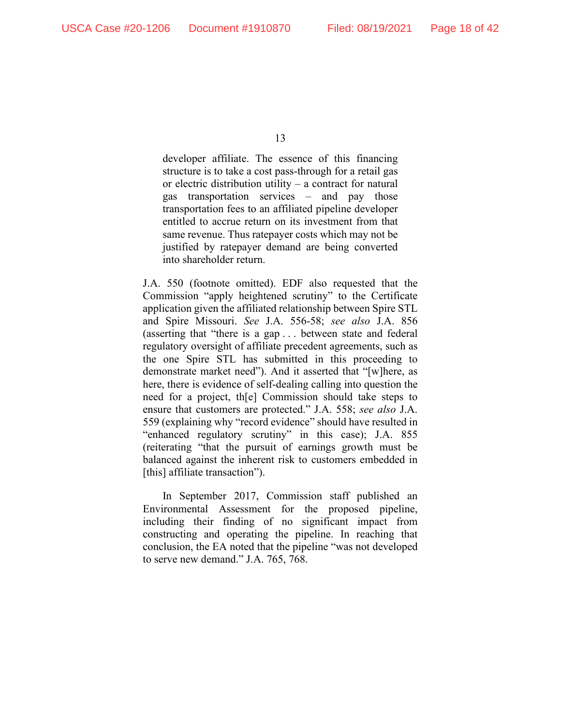developer affiliate. The essence of this financing structure is to take a cost pass-through for a retail gas or electric distribution utility – a contract for natural gas transportation services – and pay those transportation fees to an affiliated pipeline developer entitled to accrue return on its investment from that same revenue. Thus ratepayer costs which may not be justified by ratepayer demand are being converted into shareholder return.

J.A. 550 (footnote omitted). EDF also requested that the Commission "apply heightened scrutiny" to the Certificate application given the affiliated relationship between Spire STL and Spire Missouri. *See* J.A. 556-58; *see also* J.A. 856 (asserting that "there is a gap . . . between state and federal regulatory oversight of affiliate precedent agreements, such as the one Spire STL has submitted in this proceeding to demonstrate market need"). And it asserted that "[w]here, as here, there is evidence of self-dealing calling into question the need for a project, th[e] Commission should take steps to ensure that customers are protected." J.A. 558; *see also* J.A. 559 (explaining why "record evidence" should have resulted in "enhanced regulatory scrutiny" in this case); J.A. 855 (reiterating "that the pursuit of earnings growth must be balanced against the inherent risk to customers embedded in [this] affiliate transaction").

In September 2017, Commission staff published an Environmental Assessment for the proposed pipeline, including their finding of no significant impact from constructing and operating the pipeline. In reaching that conclusion, the EA noted that the pipeline "was not developed to serve new demand." J.A. 765, 768.

<sup>13</sup>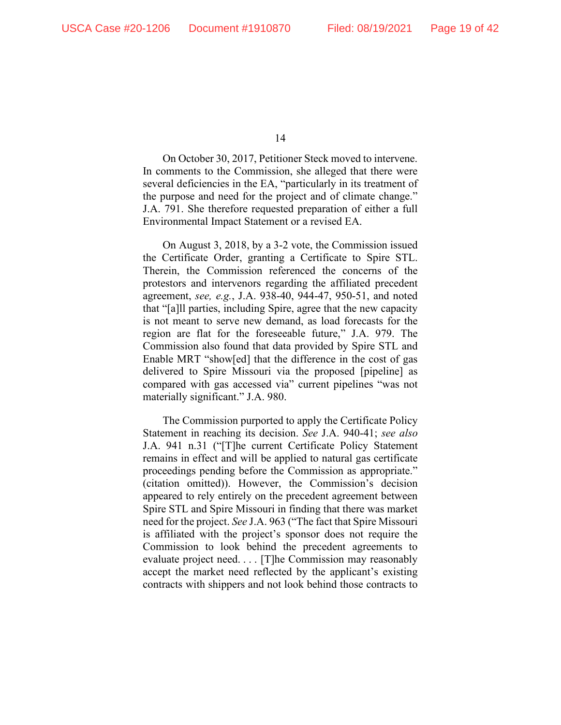On October 30, 2017, Petitioner Steck moved to intervene. In comments to the Commission, she alleged that there were several deficiencies in the EA, "particularly in its treatment of the purpose and need for the project and of climate change." J.A. 791. She therefore requested preparation of either a full Environmental Impact Statement or a revised EA.

On August 3, 2018, by a 3-2 vote, the Commission issued the Certificate Order, granting a Certificate to Spire STL. Therein, the Commission referenced the concerns of the protestors and intervenors regarding the affiliated precedent agreement, *see, e.g.*, J.A. 938-40, 944-47, 950-51, and noted that "[a]ll parties, including Spire, agree that the new capacity is not meant to serve new demand, as load forecasts for the region are flat for the foreseeable future," J.A. 979. The Commission also found that data provided by Spire STL and Enable MRT "show[ed] that the difference in the cost of gas delivered to Spire Missouri via the proposed [pipeline] as compared with gas accessed via" current pipelines "was not materially significant." J.A. 980.

The Commission purported to apply the Certificate Policy Statement in reaching its decision. *See* J.A. 940-41; *see also* J.A. 941 n.31 ("[T]he current Certificate Policy Statement remains in effect and will be applied to natural gas certificate proceedings pending before the Commission as appropriate." (citation omitted)). However, the Commission's decision appeared to rely entirely on the precedent agreement between Spire STL and Spire Missouri in finding that there was market need for the project. *See* J.A. 963 ("The fact that Spire Missouri is affiliated with the project's sponsor does not require the Commission to look behind the precedent agreements to evaluate project need. . . . [T]he Commission may reasonably accept the market need reflected by the applicant's existing contracts with shippers and not look behind those contracts to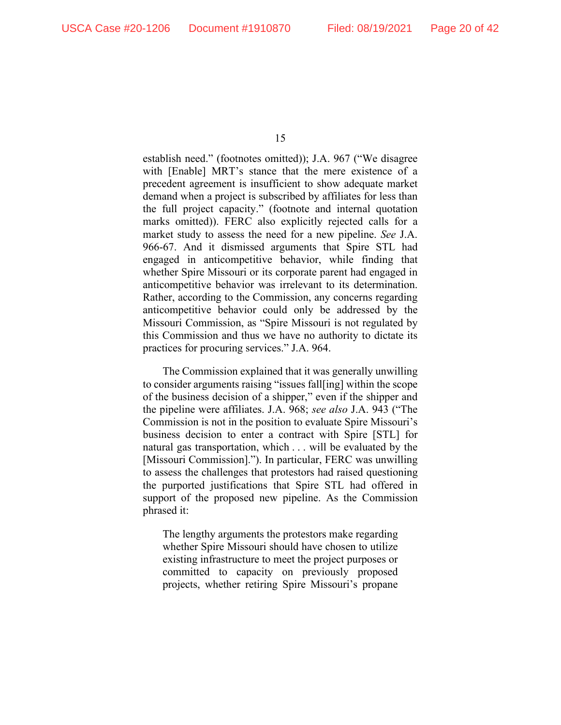establish need." (footnotes omitted)); J.A. 967 ("We disagree with [Enable] MRT's stance that the mere existence of a precedent agreement is insufficient to show adequate market demand when a project is subscribed by affiliates for less than the full project capacity." (footnote and internal quotation marks omitted)). FERC also explicitly rejected calls for a market study to assess the need for a new pipeline. *See* J.A. 966-67. And it dismissed arguments that Spire STL had engaged in anticompetitive behavior, while finding that whether Spire Missouri or its corporate parent had engaged in anticompetitive behavior was irrelevant to its determination. Rather, according to the Commission, any concerns regarding anticompetitive behavior could only be addressed by the Missouri Commission, as "Spire Missouri is not regulated by this Commission and thus we have no authority to dictate its practices for procuring services." J.A. 964.

The Commission explained that it was generally unwilling to consider arguments raising "issues fall[ing] within the scope of the business decision of a shipper," even if the shipper and the pipeline were affiliates. J.A. 968; *see also* J.A. 943 ("The Commission is not in the position to evaluate Spire Missouri's business decision to enter a contract with Spire [STL] for natural gas transportation, which . . . will be evaluated by the [Missouri Commission]."). In particular, FERC was unwilling to assess the challenges that protestors had raised questioning the purported justifications that Spire STL had offered in support of the proposed new pipeline. As the Commission phrased it:

The lengthy arguments the protestors make regarding whether Spire Missouri should have chosen to utilize existing infrastructure to meet the project purposes or committed to capacity on previously proposed projects, whether retiring Spire Missouri's propane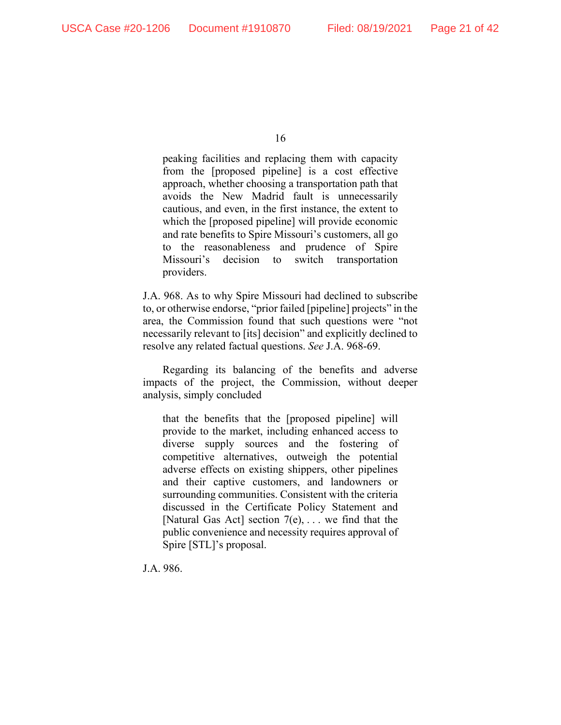peaking facilities and replacing them with capacity from the [proposed pipeline] is a cost effective approach, whether choosing a transportation path that avoids the New Madrid fault is unnecessarily cautious, and even, in the first instance, the extent to which the [proposed pipeline] will provide economic and rate benefits to Spire Missouri's customers, all go to the reasonableness and prudence of Spire Missouri's decision to switch transportation providers.

J.A. 968. As to why Spire Missouri had declined to subscribe to, or otherwise endorse, "prior failed [pipeline] projects" in the area, the Commission found that such questions were "not necessarily relevant to [its] decision" and explicitly declined to resolve any related factual questions. *See* J.A. 968-69.

Regarding its balancing of the benefits and adverse impacts of the project, the Commission, without deeper analysis, simply concluded

that the benefits that the [proposed pipeline] will provide to the market, including enhanced access to diverse supply sources and the fostering of competitive alternatives, outweigh the potential adverse effects on existing shippers, other pipelines and their captive customers, and landowners or surrounding communities. Consistent with the criteria discussed in the Certificate Policy Statement and [Natural Gas Act] section  $7(e)$ , ... we find that the public convenience and necessity requires approval of Spire [STL]'s proposal.

J.A. 986.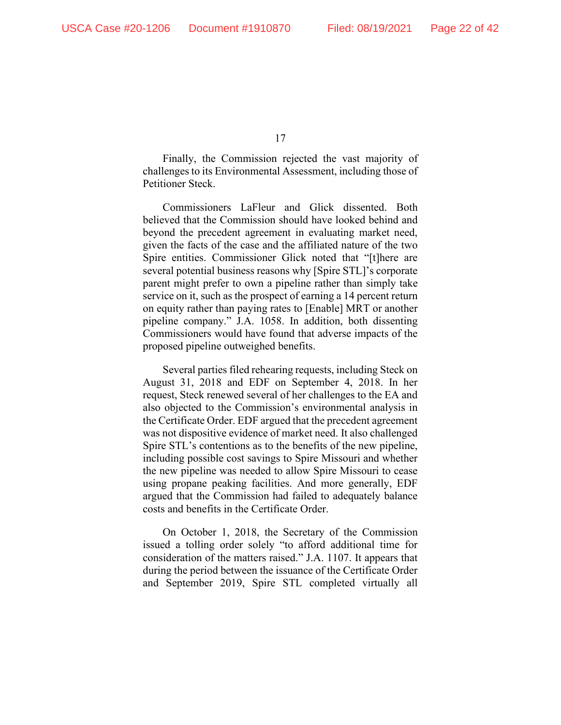Finally, the Commission rejected the vast majority of challenges to its Environmental Assessment, including those of Petitioner Steck.

Commissioners LaFleur and Glick dissented. Both believed that the Commission should have looked behind and beyond the precedent agreement in evaluating market need, given the facts of the case and the affiliated nature of the two Spire entities. Commissioner Glick noted that "[t]here are several potential business reasons why [Spire STL]'s corporate parent might prefer to own a pipeline rather than simply take service on it, such as the prospect of earning a 14 percent return on equity rather than paying rates to [Enable] MRT or another pipeline company." J.A. 1058. In addition, both dissenting Commissioners would have found that adverse impacts of the proposed pipeline outweighed benefits.

Several parties filed rehearing requests, including Steck on August 31, 2018 and EDF on September 4, 2018. In her request, Steck renewed several of her challenges to the EA and also objected to the Commission's environmental analysis in the Certificate Order. EDF argued that the precedent agreement was not dispositive evidence of market need. It also challenged Spire STL's contentions as to the benefits of the new pipeline, including possible cost savings to Spire Missouri and whether the new pipeline was needed to allow Spire Missouri to cease using propane peaking facilities. And more generally, EDF argued that the Commission had failed to adequately balance costs and benefits in the Certificate Order.

On October 1, 2018, the Secretary of the Commission issued a tolling order solely "to afford additional time for consideration of the matters raised." J.A. 1107. It appears that during the period between the issuance of the Certificate Order and September 2019, Spire STL completed virtually all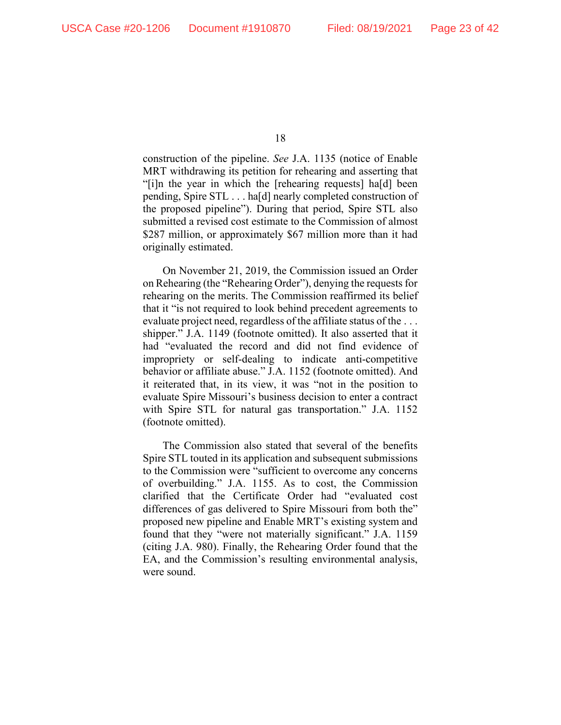construction of the pipeline. *See* J.A. 1135 (notice of Enable MRT withdrawing its petition for rehearing and asserting that "[i]n the year in which the [rehearing requests] ha[d] been pending, Spire STL . . . ha[d] nearly completed construction of the proposed pipeline"). During that period, Spire STL also submitted a revised cost estimate to the Commission of almost \$287 million, or approximately \$67 million more than it had originally estimated.

On November 21, 2019, the Commission issued an Order on Rehearing (the "Rehearing Order"), denying the requests for rehearing on the merits. The Commission reaffirmed its belief that it "is not required to look behind precedent agreements to evaluate project need, regardless of the affiliate status of the . . . shipper." J.A. 1149 (footnote omitted). It also asserted that it had "evaluated the record and did not find evidence of impropriety or self-dealing to indicate anti-competitive behavior or affiliate abuse." J.A. 1152 (footnote omitted). And it reiterated that, in its view, it was "not in the position to evaluate Spire Missouri's business decision to enter a contract with Spire STL for natural gas transportation." J.A. 1152 (footnote omitted).

The Commission also stated that several of the benefits Spire STL touted in its application and subsequent submissions to the Commission were "sufficient to overcome any concerns of overbuilding." J.A. 1155. As to cost, the Commission clarified that the Certificate Order had "evaluated cost differences of gas delivered to Spire Missouri from both the" proposed new pipeline and Enable MRT's existing system and found that they "were not materially significant." J.A. 1159 (citing J.A. 980). Finally, the Rehearing Order found that the EA, and the Commission's resulting environmental analysis, were sound.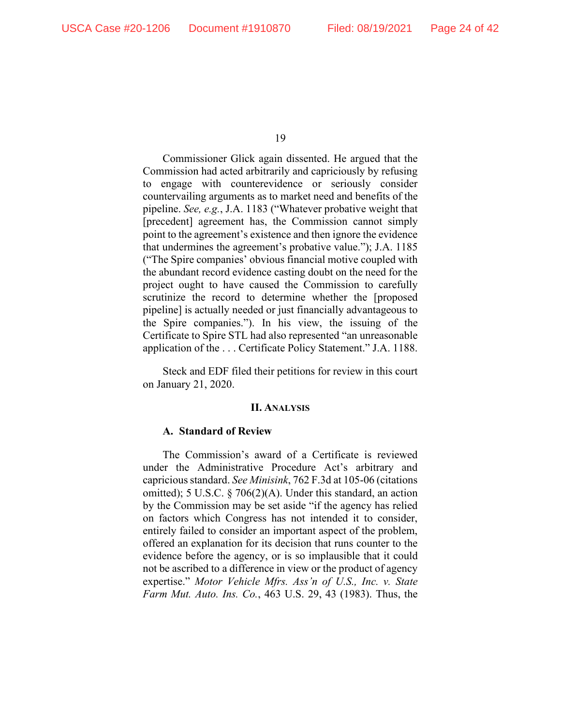Commissioner Glick again dissented. He argued that the Commission had acted arbitrarily and capriciously by refusing to engage with counterevidence or seriously consider countervailing arguments as to market need and benefits of the pipeline. *See, e.g.*, J.A. 1183 ("Whatever probative weight that [precedent] agreement has, the Commission cannot simply point to the agreement's existence and then ignore the evidence that undermines the agreement's probative value."); J.A. 1185 ("The Spire companies' obvious financial motive coupled with the abundant record evidence casting doubt on the need for the project ought to have caused the Commission to carefully scrutinize the record to determine whether the [proposed pipeline] is actually needed or just financially advantageous to the Spire companies."). In his view, the issuing of the Certificate to Spire STL had also represented "an unreasonable application of the . . . Certificate Policy Statement." J.A. 1188.

Steck and EDF filed their petitions for review in this court on January 21, 2020.

#### **II. ANALYSIS**

#### **A. Standard of Review**

The Commission's award of a Certificate is reviewed under the Administrative Procedure Act's arbitrary and capricious standard. *See Minisink*, 762 F.3d at 105-06 (citations omitted); 5 U.S.C. § 706(2)(A). Under this standard, an action by the Commission may be set aside "if the agency has relied on factors which Congress has not intended it to consider, entirely failed to consider an important aspect of the problem, offered an explanation for its decision that runs counter to the evidence before the agency, or is so implausible that it could not be ascribed to a difference in view or the product of agency expertise." *Motor Vehicle Mfrs. Ass'n of U.S., Inc. v. State Farm Mut. Auto. Ins. Co.*, 463 U.S. 29, 43 (1983). Thus, the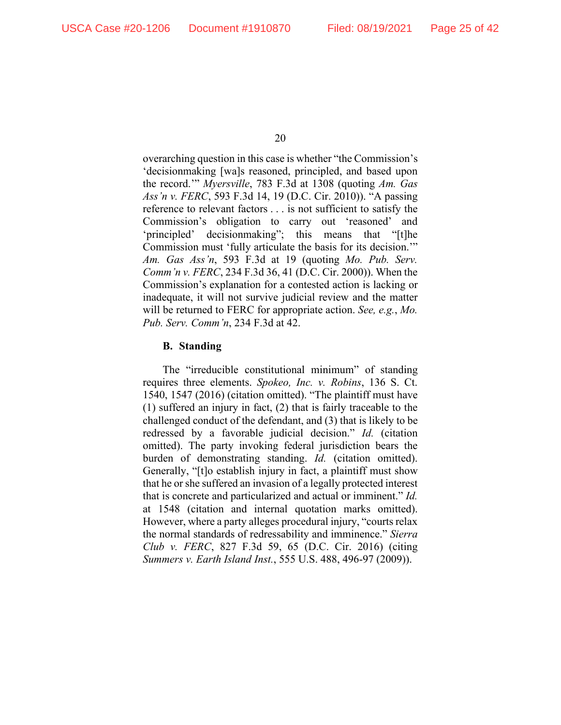overarching question in this case is whether "the Commission's 'decisionmaking [wa]s reasoned, principled, and based upon the record.'" *Myersville*, 783 F.3d at 1308 (quoting *Am. Gas Ass'n v. FERC*, 593 F.3d 14, 19 (D.C. Cir. 2010)). "A passing reference to relevant factors . . . is not sufficient to satisfy the Commission's obligation to carry out 'reasoned' and 'principled' decisionmaking"; this means that "[t]he Commission must 'fully articulate the basis for its decision.'" *Am. Gas Ass'n*, 593 F.3d at 19 (quoting *Mo. Pub. Serv. Comm'n v. FERC*, 234 F.3d 36, 41 (D.C. Cir. 2000)). When the Commission's explanation for a contested action is lacking or inadequate, it will not survive judicial review and the matter will be returned to FERC for appropriate action. *See, e.g.*, *Mo. Pub. Serv. Comm'n*, 234 F.3d at 42.

#### **B. Standing**

The "irreducible constitutional minimum" of standing requires three elements. *Spokeo, Inc. v. Robins*, 136 S. Ct. 1540, 1547 (2016) (citation omitted). "The plaintiff must have (1) suffered an injury in fact, (2) that is fairly traceable to the challenged conduct of the defendant, and (3) that is likely to be redressed by a favorable judicial decision." *Id.* (citation omitted). The party invoking federal jurisdiction bears the burden of demonstrating standing. *Id.* (citation omitted). Generally, "[t]o establish injury in fact, a plaintiff must show that he or she suffered an invasion of a legally protected interest that is concrete and particularized and actual or imminent." *Id.* at 1548 (citation and internal quotation marks omitted). However, where a party alleges procedural injury, "courts relax the normal standards of redressability and imminence." *Sierra Club v. FERC*, 827 F.3d 59, 65 (D.C. Cir. 2016) (citing *Summers v. Earth Island Inst.*, 555 U.S. 488, 496-97 (2009)).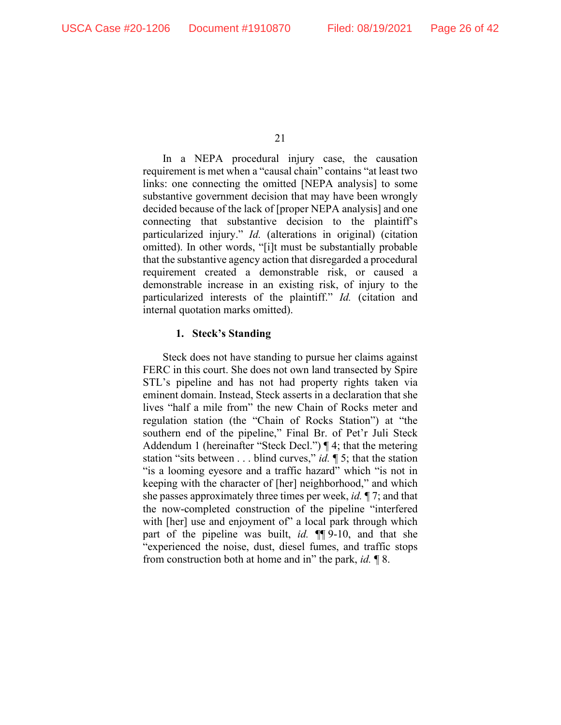In a NEPA procedural injury case, the causation requirement is met when a "causal chain" contains "at least two links: one connecting the omitted [NEPA analysis] to some substantive government decision that may have been wrongly decided because of the lack of [proper NEPA analysis] and one connecting that substantive decision to the plaintiff's particularized injury." *Id.* (alterations in original) (citation omitted). In other words, "[i]t must be substantially probable that the substantive agency action that disregarded a procedural requirement created a demonstrable risk, or caused a demonstrable increase in an existing risk, of injury to the particularized interests of the plaintiff." *Id.* (citation and internal quotation marks omitted).

#### **1. Steck's Standing**

Steck does not have standing to pursue her claims against FERC in this court. She does not own land transected by Spire STL's pipeline and has not had property rights taken via eminent domain. Instead, Steck asserts in a declaration that she lives "half a mile from" the new Chain of Rocks meter and regulation station (the "Chain of Rocks Station") at "the southern end of the pipeline," Final Br. of Pet'r Juli Steck Addendum 1 (hereinafter "Steck Decl.") ¶ 4; that the metering station "sits between . . . blind curves," *id.* ¶ 5; that the station "is a looming eyesore and a traffic hazard" which "is not in keeping with the character of [her] neighborhood," and which she passes approximately three times per week, *id.* ¶ 7; and that the now-completed construction of the pipeline "interfered with [her] use and enjoyment of" a local park through which part of the pipeline was built, *id.* ¶¶ 9-10, and that she "experienced the noise, dust, diesel fumes, and traffic stops from construction both at home and in" the park, *id.* ¶ 8.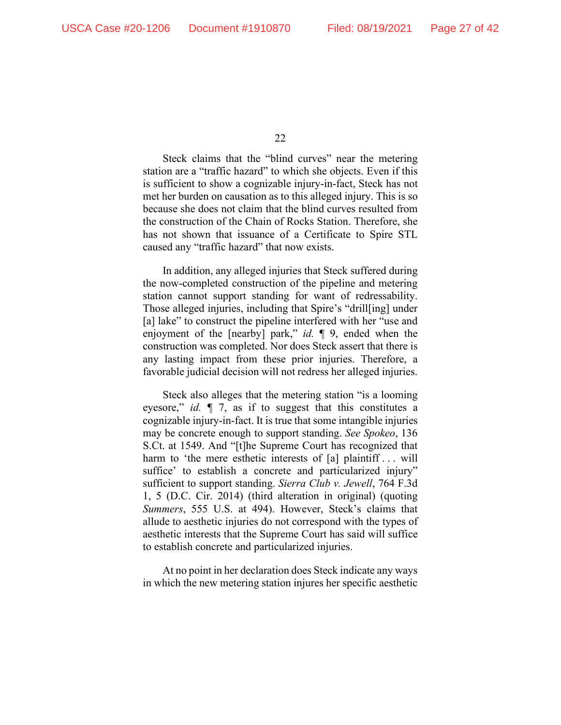Steck claims that the "blind curves" near the metering station are a "traffic hazard" to which she objects. Even if this is sufficient to show a cognizable injury-in-fact, Steck has not met her burden on causation as to this alleged injury. This is so because she does not claim that the blind curves resulted from the construction of the Chain of Rocks Station. Therefore, she has not shown that issuance of a Certificate to Spire STL caused any "traffic hazard" that now exists.

In addition, any alleged injuries that Steck suffered during the now-completed construction of the pipeline and metering station cannot support standing for want of redressability. Those alleged injuries, including that Spire's "drill[ing] under [a] lake" to construct the pipeline interfered with her "use and enjoyment of the [nearby] park," *id.* ¶ 9, ended when the construction was completed. Nor does Steck assert that there is any lasting impact from these prior injuries. Therefore, a favorable judicial decision will not redress her alleged injuries.

Steck also alleges that the metering station "is a looming eyesore," *id.* ¶ 7, as if to suggest that this constitutes a cognizable injury-in-fact. It is true that some intangible injuries may be concrete enough to support standing. *See Spokeo*, 136 S.Ct. at 1549. And "[t]he Supreme Court has recognized that harm to 'the mere esthetic interests of [a] plaintiff ... will suffice' to establish a concrete and particularized injury" sufficient to support standing. *Sierra Club v. Jewell*, 764 F.3d 1, 5 (D.C. Cir. 2014) (third alteration in original) (quoting *Summers*, 555 U.S. at 494). However, Steck's claims that allude to aesthetic injuries do not correspond with the types of aesthetic interests that the Supreme Court has said will suffice to establish concrete and particularized injuries.

At no point in her declaration does Steck indicate any ways in which the new metering station injures her specific aesthetic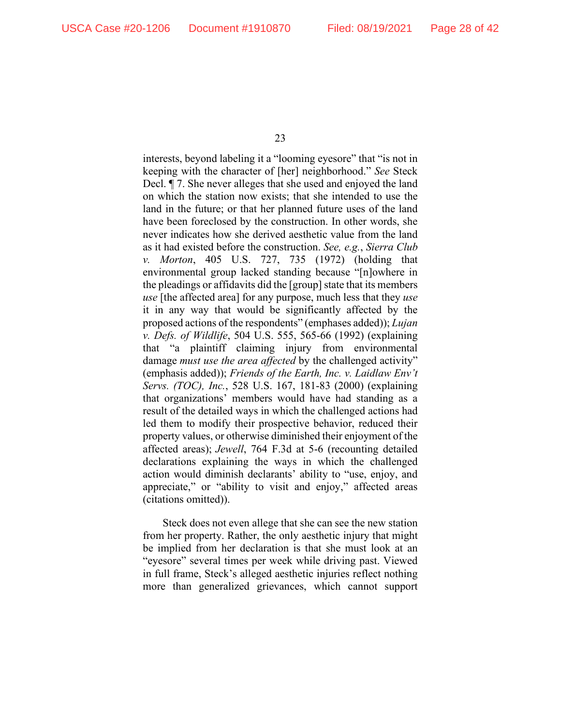interests, beyond labeling it a "looming eyesore" that "is not in keeping with the character of [her] neighborhood." *See* Steck Decl. ¶ 7. She never alleges that she used and enjoyed the land on which the station now exists; that she intended to use the land in the future; or that her planned future uses of the land have been foreclosed by the construction. In other words, she never indicates how she derived aesthetic value from the land as it had existed before the construction. *See, e.g.*, *Sierra Club v. Morton*, 405 U.S. 727, 735 (1972) (holding that environmental group lacked standing because "[n]owhere in the pleadings or affidavits did the  $[group]$  state that its members *use* [the affected area] for any purpose, much less that they *use* it in any way that would be significantly affected by the proposed actions of the respondents" (emphases added)); *Lujan v. Defs. of Wildlife*, 504 U.S. 555, 565-66 (1992) (explaining that "a plaintiff claiming injury from environmental damage *must use the area affected* by the challenged activity" (emphasis added)); *Friends of the Earth, Inc. v. Laidlaw Env't Servs. (TOC), Inc.*, 528 U.S. 167, 181-83 (2000) (explaining that organizations' members would have had standing as a result of the detailed ways in which the challenged actions had led them to modify their prospective behavior, reduced their property values, or otherwise diminished their enjoyment of the affected areas); *Jewell*, 764 F.3d at 5-6 (recounting detailed declarations explaining the ways in which the challenged action would diminish declarants' ability to "use, enjoy, and appreciate," or "ability to visit and enjoy," affected areas (citations omitted)).

Steck does not even allege that she can see the new station from her property. Rather, the only aesthetic injury that might be implied from her declaration is that she must look at an "eyesore" several times per week while driving past. Viewed in full frame, Steck's alleged aesthetic injuries reflect nothing more than generalized grievances, which cannot support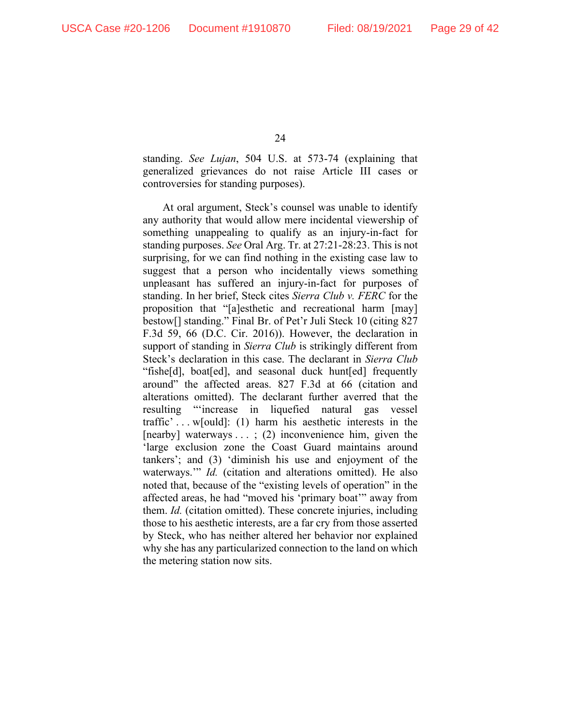standing. *See Lujan*, 504 U.S. at 573-74 (explaining that generalized grievances do not raise Article III cases or controversies for standing purposes).

At oral argument, Steck's counsel was unable to identify any authority that would allow mere incidental viewership of something unappealing to qualify as an injury-in-fact for standing purposes. *See* Oral Arg. Tr. at 27:21-28:23. This is not surprising, for we can find nothing in the existing case law to suggest that a person who incidentally views something unpleasant has suffered an injury-in-fact for purposes of standing. In her brief, Steck cites *Sierra Club v. FERC* for the proposition that "[a]esthetic and recreational harm [may] bestow[] standing." Final Br. of Pet'r Juli Steck 10 (citing 827 F.3d 59, 66 (D.C. Cir. 2016)). However, the declaration in support of standing in *Sierra Club* is strikingly different from Steck's declaration in this case. The declarant in *Sierra Club* "fishe[d], boat[ed], and seasonal duck hunt[ed] frequently around" the affected areas. 827 F.3d at 66 (citation and alterations omitted). The declarant further averred that the resulting "'increase in liquefied natural gas vessel traffic' . . . w[ould]: (1) harm his aesthetic interests in the [nearby] waterways . . . ; (2) inconvenience him, given the 'large exclusion zone the Coast Guard maintains around tankers'; and (3) 'diminish his use and enjoyment of the waterways.'" *Id.* (citation and alterations omitted). He also noted that, because of the "existing levels of operation" in the affected areas, he had "moved his 'primary boat'" away from them. *Id.* (citation omitted). These concrete injuries, including those to his aesthetic interests, are a far cry from those asserted by Steck, who has neither altered her behavior nor explained why she has any particularized connection to the land on which the metering station now sits.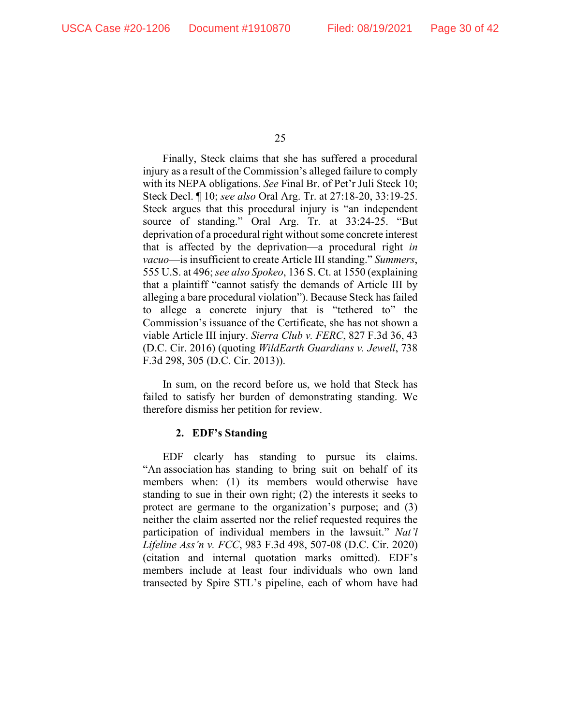Finally, Steck claims that she has suffered a procedural injury as a result of the Commission's alleged failure to comply with its NEPA obligations. *See* Final Br. of Pet'r Juli Steck 10; Steck Decl. ¶ 10; *see also* Oral Arg. Tr. at 27:18-20, 33:19-25. Steck argues that this procedural injury is "an independent source of standing." Oral Arg. Tr. at 33:24-25. "But deprivation of a procedural right without some concrete interest that is affected by the deprivation—a procedural right *in vacuo*—is insufficient to create Article III standing." *Summers*, 555 U.S. at 496; *see also Spokeo*, 136 S. Ct. at 1550 (explaining that a plaintiff "cannot satisfy the demands of Article III by alleging a bare procedural violation"). Because Steck has failed to allege a concrete injury that is "tethered to" the Commission's issuance of the Certificate, she has not shown a viable Article III injury. *Sierra Club v. FERC*, 827 F.3d 36, 43 (D.C. Cir. 2016) (quoting *WildEarth Guardians v. Jewell*, 738 F.3d 298, 305 (D.C. Cir. 2013)).

In sum, on the record before us, we hold that Steck has failed to satisfy her burden of demonstrating standing. We therefore dismiss her petition for review.

#### **2. EDF's Standing**

EDF clearly has standing to pursue its claims. "An association has standing to bring suit on behalf of its members when: (1) its members would otherwise have standing to sue in their own right; (2) the interests it seeks to protect are germane to the organization's purpose; and (3) neither the claim asserted nor the relief requested requires the participation of individual members in the lawsuit." *Nat'l Lifeline Ass'n v. FCC*, 983 F.3d 498, 507-08 (D.C. Cir. 2020) (citation and internal quotation marks omitted). EDF's members include at least four individuals who own land transected by Spire STL's pipeline, each of whom have had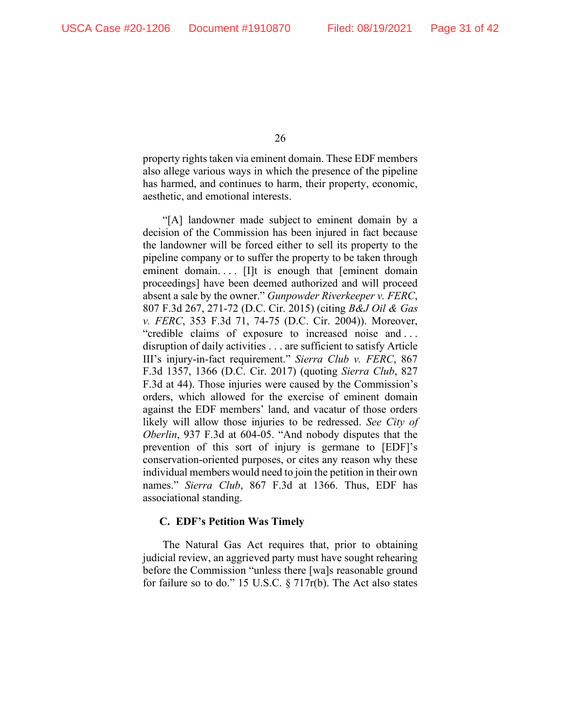property rights taken via eminent domain. These EDF members also allege various ways in which the presence of the pipeline has harmed, and continues to harm, their property, economic, aesthetic, and emotional interests.

"[A] landowner made subject to eminent domain by a decision of the Commission has been injured in fact because the landowner will be forced either to sell its property to the pipeline company or to suffer the property to be taken through eminent domain.... [I]t is enough that [eminent domain proceedings] have been deemed authorized and will proceed absent a sale by the owner." *Gunpowder Riverkeeper v. FERC*, 807 F.3d 267, 271-72 (D.C. Cir. 2015) (citing *B&J Oil & Gas v. FERC*, 353 F.3d 71, 74-75 (D.C. Cir. 2004)). Moreover, "credible claims of exposure to increased noise and . . . disruption of daily activities . . . are sufficient to satisfy Article III's injury-in-fact requirement." *Sierra Club v. FERC*, 867 F.3d 1357, 1366 (D.C. Cir. 2017) (quoting *Sierra Club*, 827 F.3d at 44). Those injuries were caused by the Commission's orders, which allowed for the exercise of eminent domain against the EDF members' land, and vacatur of those orders likely will allow those injuries to be redressed. *See City of Oberlin*, 937 F.3d at 604-05. "And nobody disputes that the prevention of this sort of injury is germane to [EDF]'s conservation-oriented purposes, or cites any reason why these individual members would need to join the petition in their own names." *Sierra Club*, 867 F.3d at 1366. Thus, EDF has associational standing.

#### **C. EDF's Petition Was Timely**

The Natural Gas Act requires that, prior to obtaining judicial review, an aggrieved party must have sought rehearing before the Commission "unless there [wa]s reasonable ground for failure so to do." 15 U.S.C. § 717r(b). The Act also states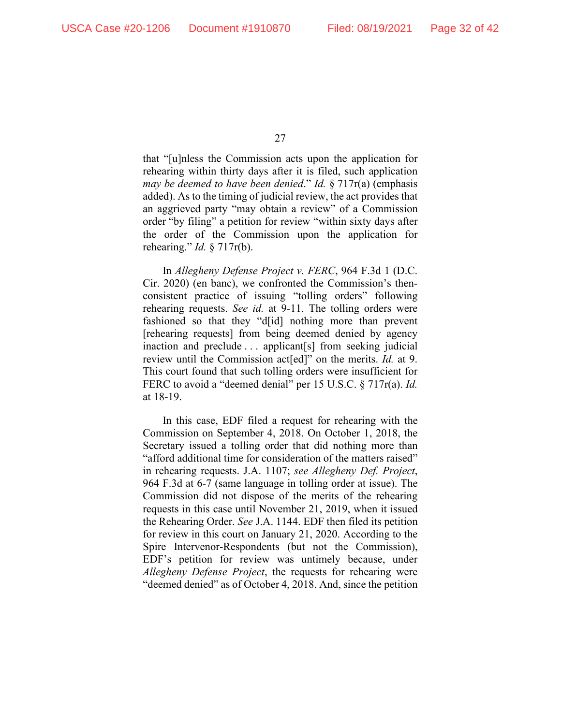that "[u]nless the Commission acts upon the application for rehearing within thirty days after it is filed, such application *may be deemed to have been denied*." *Id.* § 717r(a) (emphasis added). As to the timing of judicial review, the act provides that an aggrieved party "may obtain a review" of a Commission order "by filing" a petition for review "within sixty days after the order of the Commission upon the application for rehearing." *Id.* § 717r(b).

In *Allegheny Defense Project v. FERC*, 964 F.3d 1 (D.C. Cir. 2020) (en banc), we confronted the Commission's thenconsistent practice of issuing "tolling orders" following rehearing requests. *See id.* at 9-11. The tolling orders were fashioned so that they "d[id] nothing more than prevent [rehearing requests] from being deemed denied by agency inaction and preclude . . . applicant[s] from seeking judicial review until the Commission act[ed]" on the merits. *Id.* at 9. This court found that such tolling orders were insufficient for FERC to avoid a "deemed denial" per 15 U.S.C. § 717r(a). *Id.* at 18-19.

In this case, EDF filed a request for rehearing with the Commission on September 4, 2018. On October 1, 2018, the Secretary issued a tolling order that did nothing more than "afford additional time for consideration of the matters raised" in rehearing requests. J.A. 1107; *see Allegheny Def. Project*, 964 F.3d at 6-7 (same language in tolling order at issue). The Commission did not dispose of the merits of the rehearing requests in this case until November 21, 2019, when it issued the Rehearing Order. *See* J.A. 1144. EDF then filed its petition for review in this court on January 21, 2020. According to the Spire Intervenor-Respondents (but not the Commission), EDF's petition for review was untimely because, under *Allegheny Defense Project*, the requests for rehearing were "deemed denied" as of October 4, 2018. And, since the petition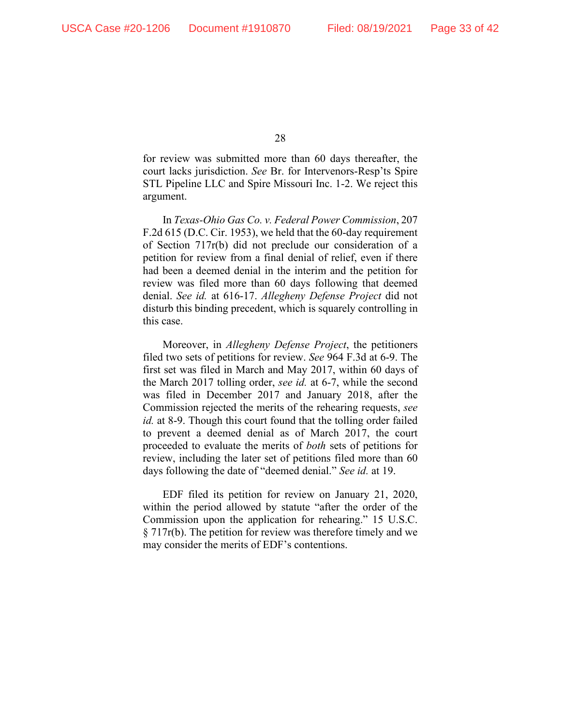for review was submitted more than 60 days thereafter, the court lacks jurisdiction. *See* Br. for Intervenors-Resp'ts Spire STL Pipeline LLC and Spire Missouri Inc. 1-2. We reject this argument.

In *Texas-Ohio Gas Co. v. Federal Power Commission*, 207 F.2d 615 (D.C. Cir. 1953), we held that the 60-day requirement of Section 717r(b) did not preclude our consideration of a petition for review from a final denial of relief, even if there had been a deemed denial in the interim and the petition for review was filed more than 60 days following that deemed denial. *See id.* at 616-17. *Allegheny Defense Project* did not disturb this binding precedent, which is squarely controlling in this case.

Moreover, in *Allegheny Defense Project*, the petitioners filed two sets of petitions for review. *See* 964 F.3d at 6-9. The first set was filed in March and May 2017, within 60 days of the March 2017 tolling order, *see id.* at 6-7, while the second was filed in December 2017 and January 2018, after the Commission rejected the merits of the rehearing requests, *see id.* at 8-9. Though this court found that the tolling order failed to prevent a deemed denial as of March 2017, the court proceeded to evaluate the merits of *both* sets of petitions for review, including the later set of petitions filed more than 60 days following the date of "deemed denial." *See id.* at 19.

EDF filed its petition for review on January 21, 2020, within the period allowed by statute "after the order of the Commission upon the application for rehearing." 15 U.S.C.  $\S 717r(b)$ . The petition for review was therefore timely and we may consider the merits of EDF's contentions.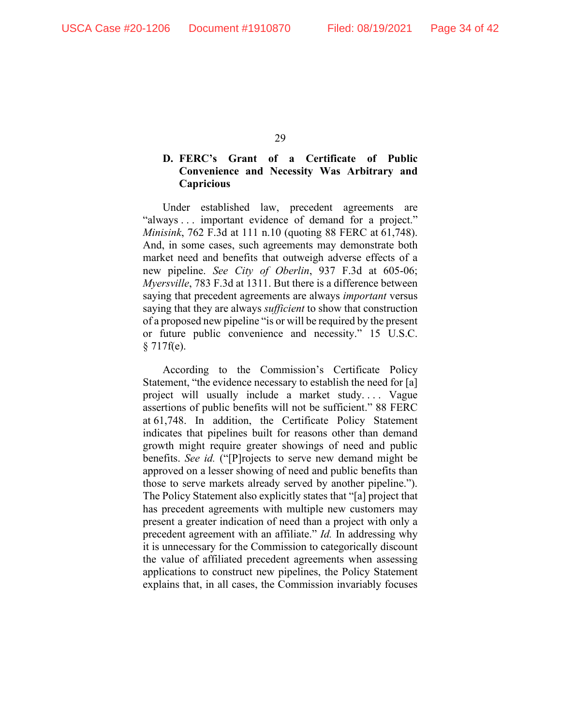### **D. FERC's Grant of a Certificate of Public Convenience and Necessity Was Arbitrary and Capricious**

Under established law, precedent agreements are "always . . . important evidence of demand for a project." *Minisink*, 762 F.3d at 111 n.10 (quoting 88 FERC at 61,748). And, in some cases, such agreements may demonstrate both market need and benefits that outweigh adverse effects of a new pipeline. *See City of Oberlin*, 937 F.3d at 605-06; *Myersville*, 783 F.3d at 1311. But there is a difference between saying that precedent agreements are always *important* versus saying that they are always *sufficient* to show that construction of a proposed new pipeline "is or will be required by the present or future public convenience and necessity." 15 U.S.C. § 717f(e).

According to the Commission's Certificate Policy Statement, "the evidence necessary to establish the need for [a] project will usually include a market study. . . . Vague assertions of public benefits will not be sufficient." 88 FERC at 61,748. In addition, the Certificate Policy Statement indicates that pipelines built for reasons other than demand growth might require greater showings of need and public benefits. *See id.* ("[P]rojects to serve new demand might be approved on a lesser showing of need and public benefits than those to serve markets already served by another pipeline."). The Policy Statement also explicitly states that "[a] project that has precedent agreements with multiple new customers may present a greater indication of need than a project with only a precedent agreement with an affiliate." *Id.* In addressing why it is unnecessary for the Commission to categorically discount the value of affiliated precedent agreements when assessing applications to construct new pipelines, the Policy Statement explains that, in all cases, the Commission invariably focuses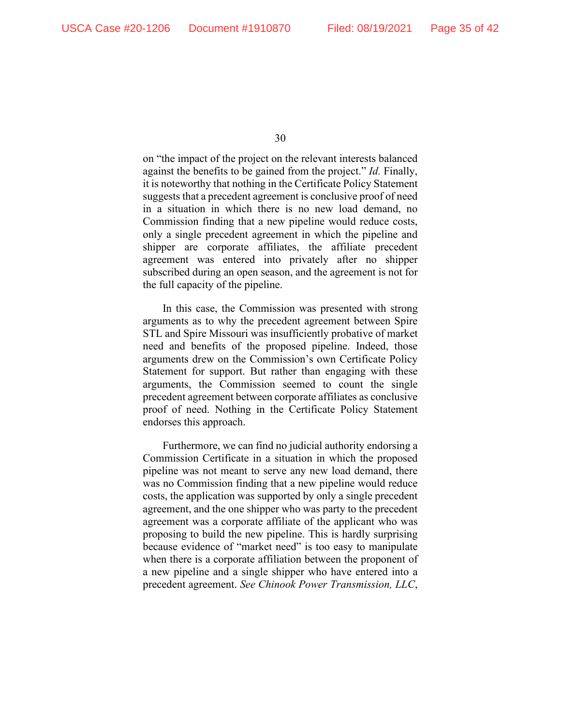on "the impact of the project on the relevant interests balanced against the benefits to be gained from the project." *Id.* Finally, it is noteworthy that nothing in the Certificate Policy Statement suggests that a precedent agreement is conclusive proof of need in a situation in which there is no new load demand, no Commission finding that a new pipeline would reduce costs, only a single precedent agreement in which the pipeline and shipper are corporate affiliates, the affiliate precedent agreement was entered into privately after no shipper subscribed during an open season, and the agreement is not for the full capacity of the pipeline.

In this case, the Commission was presented with strong arguments as to why the precedent agreement between Spire STL and Spire Missouri was insufficiently probative of market need and benefits of the proposed pipeline. Indeed, those arguments drew on the Commission's own Certificate Policy Statement for support. But rather than engaging with these arguments, the Commission seemed to count the single precedent agreement between corporate affiliates as conclusive proof of need. Nothing in the Certificate Policy Statement endorses this approach.

Furthermore, we can find no judicial authority endorsing a Commission Certificate in a situation in which the proposed pipeline was not meant to serve any new load demand, there was no Commission finding that a new pipeline would reduce costs, the application was supported by only a single precedent agreement, and the one shipper who was party to the precedent agreement was a corporate affiliate of the applicant who was proposing to build the new pipeline. This is hardly surprising because evidence of "market need" is too easy to manipulate when there is a corporate affiliation between the proponent of a new pipeline and a single shipper who have entered into a precedent agreement. *See Chinook Power Transmission, LLC*,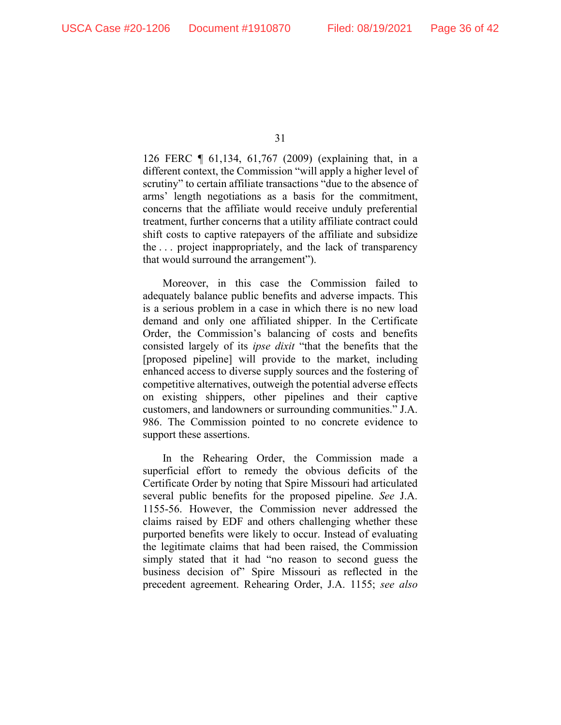126 FERC ¶ 61,134, 61,767 (2009) (explaining that, in a different context, the Commission "will apply a higher level of scrutiny" to certain affiliate transactions "due to the absence of arms' length negotiations as a basis for the commitment, concerns that the affiliate would receive unduly preferential treatment, further concerns that a utility affiliate contract could shift costs to captive ratepayers of the affiliate and subsidize the . . . project inappropriately, and the lack of transparency that would surround the arrangement").

Moreover, in this case the Commission failed to adequately balance public benefits and adverse impacts. This is a serious problem in a case in which there is no new load demand and only one affiliated shipper. In the Certificate Order, the Commission's balancing of costs and benefits consisted largely of its *ipse dixit* "that the benefits that the [proposed pipeline] will provide to the market, including enhanced access to diverse supply sources and the fostering of competitive alternatives, outweigh the potential adverse effects on existing shippers, other pipelines and their captive customers, and landowners or surrounding communities." J.A. 986. The Commission pointed to no concrete evidence to support these assertions.

In the Rehearing Order, the Commission made a superficial effort to remedy the obvious deficits of the Certificate Order by noting that Spire Missouri had articulated several public benefits for the proposed pipeline. *See* J.A. 1155-56. However, the Commission never addressed the claims raised by EDF and others challenging whether these purported benefits were likely to occur. Instead of evaluating the legitimate claims that had been raised, the Commission simply stated that it had "no reason to second guess the business decision of" Spire Missouri as reflected in the precedent agreement. Rehearing Order, J.A. 1155; *see also*

<sup>31</sup>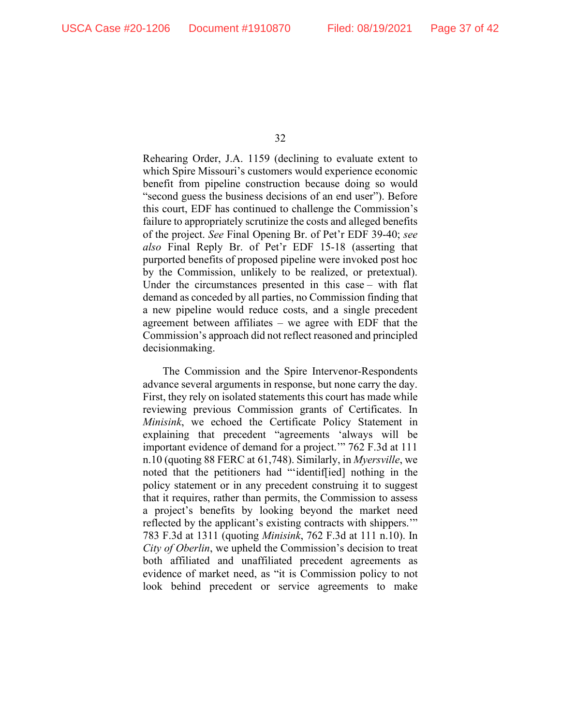Rehearing Order, J.A. 1159 (declining to evaluate extent to which Spire Missouri's customers would experience economic benefit from pipeline construction because doing so would "second guess the business decisions of an end user"). Before this court, EDF has continued to challenge the Commission's failure to appropriately scrutinize the costs and alleged benefits of the project. *See* Final Opening Br. of Pet'r EDF 39-40; *see also* Final Reply Br. of Pet'r EDF 15-18 (asserting that purported benefits of proposed pipeline were invoked post hoc by the Commission, unlikely to be realized, or pretextual). Under the circumstances presented in this case – with flat demand as conceded by all parties, no Commission finding that a new pipeline would reduce costs, and a single precedent agreement between affiliates – we agree with EDF that the Commission's approach did not reflect reasoned and principled decisionmaking.

The Commission and the Spire Intervenor-Respondents advance several arguments in response, but none carry the day. First, they rely on isolated statements this court has made while reviewing previous Commission grants of Certificates. In *Minisink*, we echoed the Certificate Policy Statement in explaining that precedent "agreements 'always will be important evidence of demand for a project.'" 762 F.3d at 111 n.10 (quoting 88 FERC at 61,748). Similarly, in *Myersville*, we noted that the petitioners had "'identif[ied] nothing in the policy statement or in any precedent construing it to suggest that it requires, rather than permits, the Commission to assess a project's benefits by looking beyond the market need reflected by the applicant's existing contracts with shippers.'" 783 F.3d at 1311 (quoting *Minisink*, 762 F.3d at 111 n.10). In *City of Oberlin*, we upheld the Commission's decision to treat both affiliated and unaffiliated precedent agreements as evidence of market need, as "it is Commission policy to not look behind precedent or service agreements to make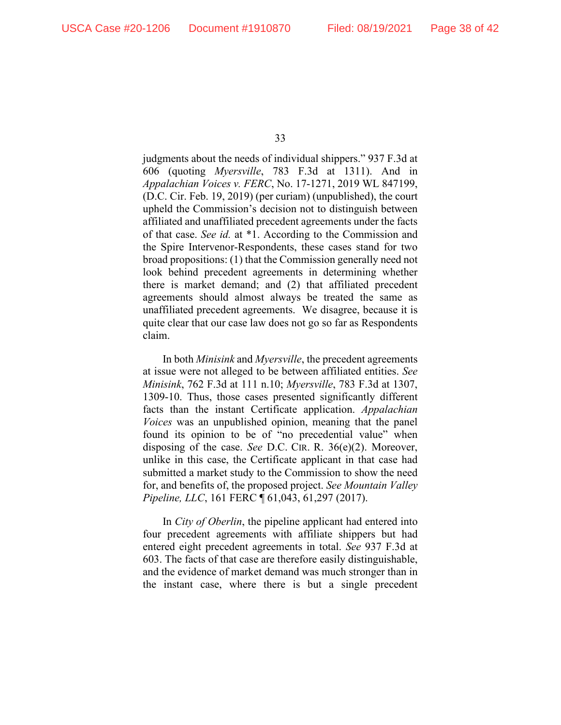judgments about the needs of individual shippers." 937 F.3d at 606 (quoting *Myersville*, 783 F.3d at 1311). And in *Appalachian Voices v. FERC*, No. 17-1271, 2019 WL 847199, (D.C. Cir. Feb. 19, 2019) (per curiam) (unpublished), the court upheld the Commission's decision not to distinguish between affiliated and unaffiliated precedent agreements under the facts of that case. *See id.* at \*1. According to the Commission and the Spire Intervenor-Respondents, these cases stand for two broad propositions: (1) that the Commission generally need not look behind precedent agreements in determining whether there is market demand; and (2) that affiliated precedent agreements should almost always be treated the same as unaffiliated precedent agreements. We disagree, because it is quite clear that our case law does not go so far as Respondents claim.

In both *Minisink* and *Myersville*, the precedent agreements at issue were not alleged to be between affiliated entities. *See Minisink*, 762 F.3d at 111 n.10; *Myersville*, 783 F.3d at 1307, 1309-10. Thus, those cases presented significantly different facts than the instant Certificate application. *Appalachian Voices* was an unpublished opinion, meaning that the panel found its opinion to be of "no precedential value" when disposing of the case. *See* D.C. CIR. R. 36(e)(2). Moreover, unlike in this case, the Certificate applicant in that case had submitted a market study to the Commission to show the need for, and benefits of, the proposed project. *See Mountain Valley Pipeline, LLC*, 161 FERC ¶ 61,043, 61,297 (2017).

In *City of Oberlin*, the pipeline applicant had entered into four precedent agreements with affiliate shippers but had entered eight precedent agreements in total. *See* 937 F.3d at 603. The facts of that case are therefore easily distinguishable, and the evidence of market demand was much stronger than in the instant case, where there is but a single precedent

<sup>33</sup>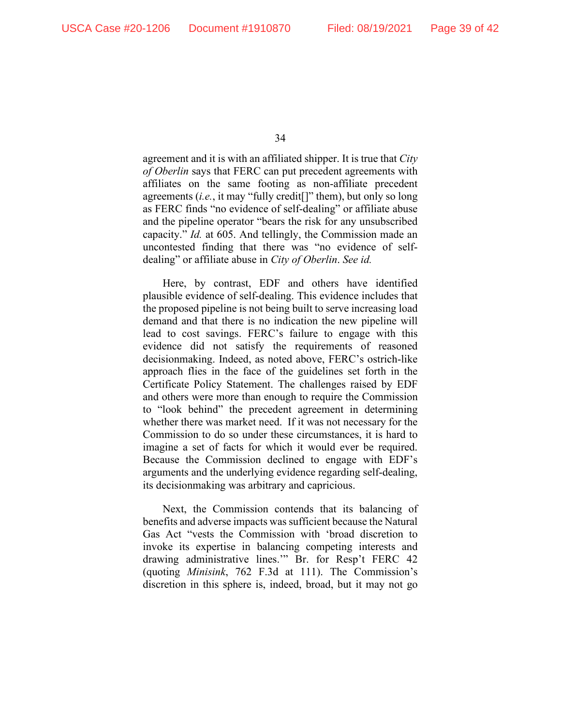agreement and it is with an affiliated shipper. It is true that *City of Oberlin* says that FERC can put precedent agreements with affiliates on the same footing as non-affiliate precedent agreements (*i.e.*, it may "fully credit[]" them), but only so long as FERC finds "no evidence of self-dealing" or affiliate abuse and the pipeline operator "bears the risk for any unsubscribed capacity." *Id.* at 605. And tellingly, the Commission made an uncontested finding that there was "no evidence of selfdealing" or affiliate abuse in *City of Oberlin*. *See id.*

Here, by contrast, EDF and others have identified plausible evidence of self-dealing. This evidence includes that the proposed pipeline is not being built to serve increasing load demand and that there is no indication the new pipeline will lead to cost savings. FERC's failure to engage with this evidence did not satisfy the requirements of reasoned decisionmaking. Indeed, as noted above, FERC's ostrich-like approach flies in the face of the guidelines set forth in the Certificate Policy Statement. The challenges raised by EDF and others were more than enough to require the Commission to "look behind" the precedent agreement in determining whether there was market need. If it was not necessary for the Commission to do so under these circumstances, it is hard to imagine a set of facts for which it would ever be required. Because the Commission declined to engage with EDF's arguments and the underlying evidence regarding self-dealing, its decisionmaking was arbitrary and capricious.

Next, the Commission contends that its balancing of benefits and adverse impacts was sufficient because the Natural Gas Act "vests the Commission with 'broad discretion to invoke its expertise in balancing competing interests and drawing administrative lines.'" Br. for Resp't FERC 42 (quoting *Minisink*, 762 F.3d at 111). The Commission's discretion in this sphere is, indeed, broad, but it may not go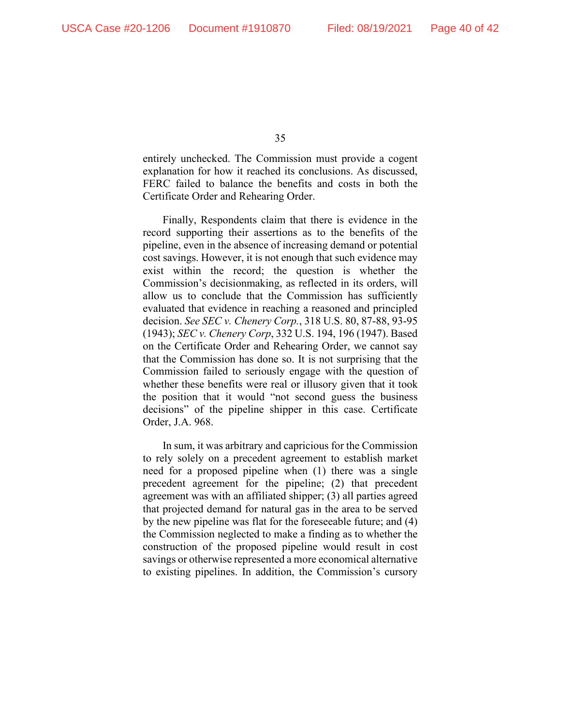entirely unchecked. The Commission must provide a cogent explanation for how it reached its conclusions. As discussed, FERC failed to balance the benefits and costs in both the Certificate Order and Rehearing Order.

Finally, Respondents claim that there is evidence in the record supporting their assertions as to the benefits of the pipeline, even in the absence of increasing demand or potential cost savings. However, it is not enough that such evidence may exist within the record; the question is whether the Commission's decisionmaking, as reflected in its orders, will allow us to conclude that the Commission has sufficiently evaluated that evidence in reaching a reasoned and principled decision. *See SEC v. Chenery Corp.*, 318 U.S. 80, 87-88, 93-95 (1943); *SEC v. Chenery Corp*, 332 U.S. 194, 196 (1947). Based on the Certificate Order and Rehearing Order, we cannot say that the Commission has done so. It is not surprising that the Commission failed to seriously engage with the question of whether these benefits were real or illusory given that it took the position that it would "not second guess the business decisions" of the pipeline shipper in this case. Certificate Order, J.A. 968.

In sum, it was arbitrary and capricious for the Commission to rely solely on a precedent agreement to establish market need for a proposed pipeline when (1) there was a single precedent agreement for the pipeline; (2) that precedent agreement was with an affiliated shipper; (3) all parties agreed that projected demand for natural gas in the area to be served by the new pipeline was flat for the foreseeable future; and (4) the Commission neglected to make a finding as to whether the construction of the proposed pipeline would result in cost savings or otherwise represented a more economical alternative to existing pipelines. In addition, the Commission's cursory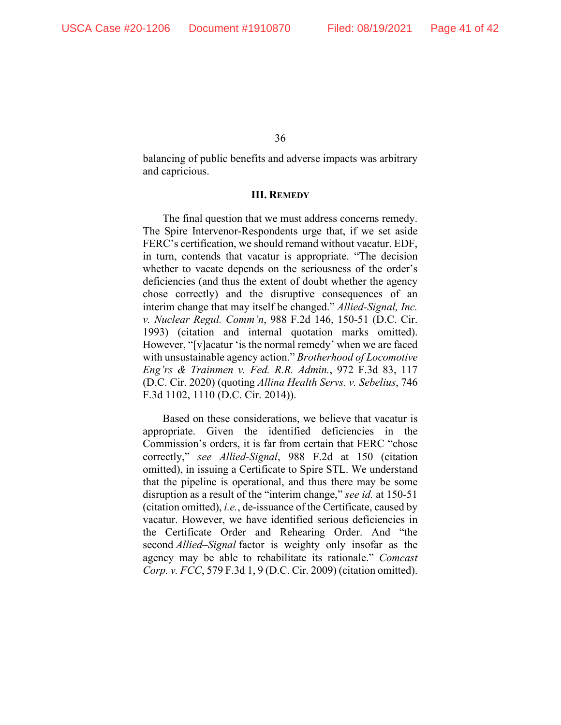balancing of public benefits and adverse impacts was arbitrary and capricious.

#### **III. REMEDY**

The final question that we must address concerns remedy. The Spire Intervenor-Respondents urge that, if we set aside FERC's certification, we should remand without vacatur. EDF, in turn, contends that vacatur is appropriate. "The decision whether to vacate depends on the seriousness of the order's deficiencies (and thus the extent of doubt whether the agency chose correctly) and the disruptive consequences of an interim change that may itself be changed." *Allied-Signal, Inc. v. Nuclear Regul. Comm'n*, 988 F.2d 146, 150-51 (D.C. Cir. 1993) (citation and internal quotation marks omitted). However, "[v]acatur 'is the normal remedy' when we are faced with unsustainable agency action." *Brotherhood of Locomotive Eng'rs & Trainmen v. Fed. R.R. Admin.*, 972 F.3d 83, 117 (D.C. Cir. 2020) (quoting *Allina Health Servs. v. Sebelius*, 746 F.3d 1102, 1110 (D.C. Cir. 2014)).

Based on these considerations, we believe that vacatur is appropriate. Given the identified deficiencies in the Commission's orders, it is far from certain that FERC "chose correctly," *see Allied-Signal*, 988 F.2d at 150 (citation omitted), in issuing a Certificate to Spire STL. We understand that the pipeline is operational, and thus there may be some disruption as a result of the "interim change," *see id.* at 150-51 (citation omitted), *i.e.*, de-issuance of the Certificate, caused by vacatur. However, we have identified serious deficiencies in the Certificate Order and Rehearing Order. And "the second *Allied–Signal* factor is weighty only insofar as the agency may be able to rehabilitate its rationale." *Comcast Corp. v. FCC*, 579 F.3d 1, 9 (D.C. Cir. 2009) (citation omitted).